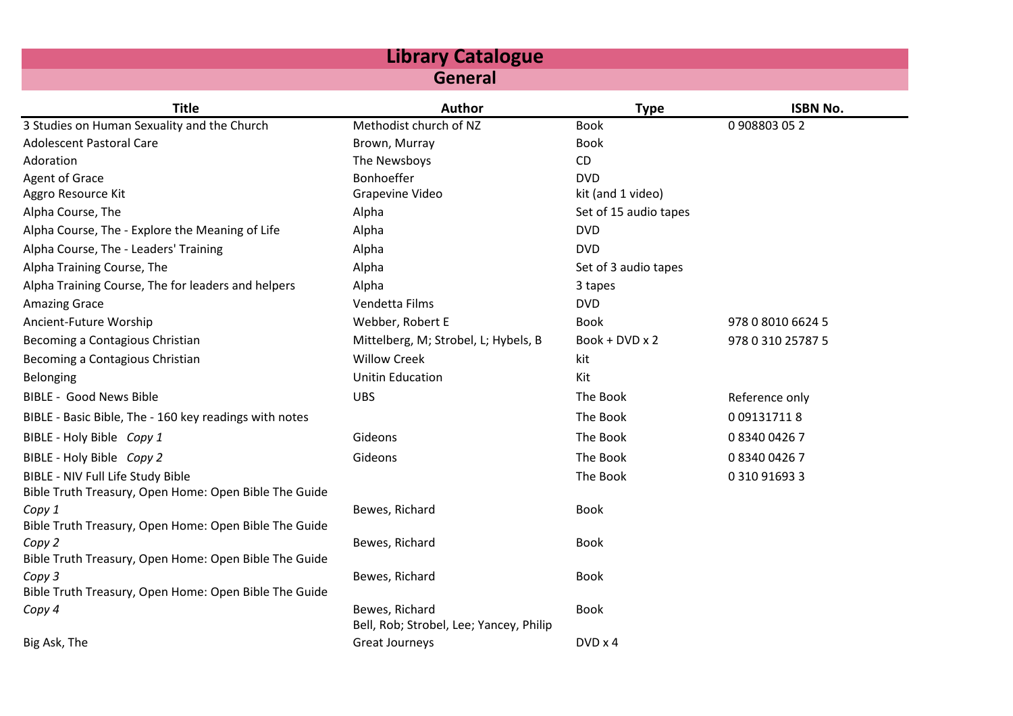| <b>Library Catalogue</b>                               |                                                           |                       |                   |  |
|--------------------------------------------------------|-----------------------------------------------------------|-----------------------|-------------------|--|
| <b>General</b>                                         |                                                           |                       |                   |  |
| <b>Title</b>                                           | <b>Author</b>                                             | <b>Type</b>           | <b>ISBN No.</b>   |  |
| 3 Studies on Human Sexuality and the Church            | Methodist church of NZ                                    | <b>Book</b>           | 0908803052        |  |
| <b>Adolescent Pastoral Care</b>                        | Brown, Murray                                             | <b>Book</b>           |                   |  |
| Adoration                                              | The Newsboys                                              | CD                    |                   |  |
| Agent of Grace                                         | Bonhoeffer                                                | <b>DVD</b>            |                   |  |
| Aggro Resource Kit                                     | Grapevine Video                                           | kit (and 1 video)     |                   |  |
| Alpha Course, The                                      | Alpha                                                     | Set of 15 audio tapes |                   |  |
| Alpha Course, The - Explore the Meaning of Life        | Alpha                                                     | <b>DVD</b>            |                   |  |
| Alpha Course, The - Leaders' Training                  | Alpha                                                     | <b>DVD</b>            |                   |  |
| Alpha Training Course, The                             | Alpha                                                     | Set of 3 audio tapes  |                   |  |
| Alpha Training Course, The for leaders and helpers     | Alpha                                                     | 3 tapes               |                   |  |
| <b>Amazing Grace</b>                                   | Vendetta Films                                            | <b>DVD</b>            |                   |  |
| Ancient-Future Worship                                 | Webber, Robert E                                          | <b>Book</b>           | 978 0 8010 6624 5 |  |
| Becoming a Contagious Christian                        | Mittelberg, M; Strobel, L; Hybels, B                      | Book + DVD x 2        | 978 0 310 25787 5 |  |
| Becoming a Contagious Christian                        | <b>Willow Creek</b>                                       | kit                   |                   |  |
| Belonging                                              | <b>Unitin Education</b>                                   | Kit                   |                   |  |
| <b>BIBLE - Good News Bible</b>                         | <b>UBS</b>                                                | The Book              | Reference only    |  |
| BIBLE - Basic Bible, The - 160 key readings with notes |                                                           | The Book              | 0 09131711 8      |  |
| BIBLE - Holy Bible Copy 1                              | Gideons                                                   | The Book              | 0834004267        |  |
| BIBLE - Holy Bible Copy 2                              | Gideons                                                   | The Book              | 0834004267        |  |
| BIBLE - NIV Full Life Study Bible                      |                                                           | The Book              | 0 310 91693 3     |  |
| Bible Truth Treasury, Open Home: Open Bible The Guide  |                                                           |                       |                   |  |
| Copy 1                                                 | Bewes, Richard                                            | <b>Book</b>           |                   |  |
| Bible Truth Treasury, Open Home: Open Bible The Guide  |                                                           |                       |                   |  |
| Copy 2                                                 | Bewes, Richard                                            | <b>Book</b>           |                   |  |
| Bible Truth Treasury, Open Home: Open Bible The Guide  |                                                           |                       |                   |  |
| Copy 3                                                 | Bewes, Richard                                            | <b>Book</b>           |                   |  |
| Bible Truth Treasury, Open Home: Open Bible The Guide  |                                                           |                       |                   |  |
| Copy 4                                                 | Bewes, Richard<br>Bell, Rob; Strobel, Lee; Yancey, Philip | <b>Book</b>           |                   |  |
| Big Ask, The                                           | <b>Great Journeys</b>                                     | $DVD \times 4$        |                   |  |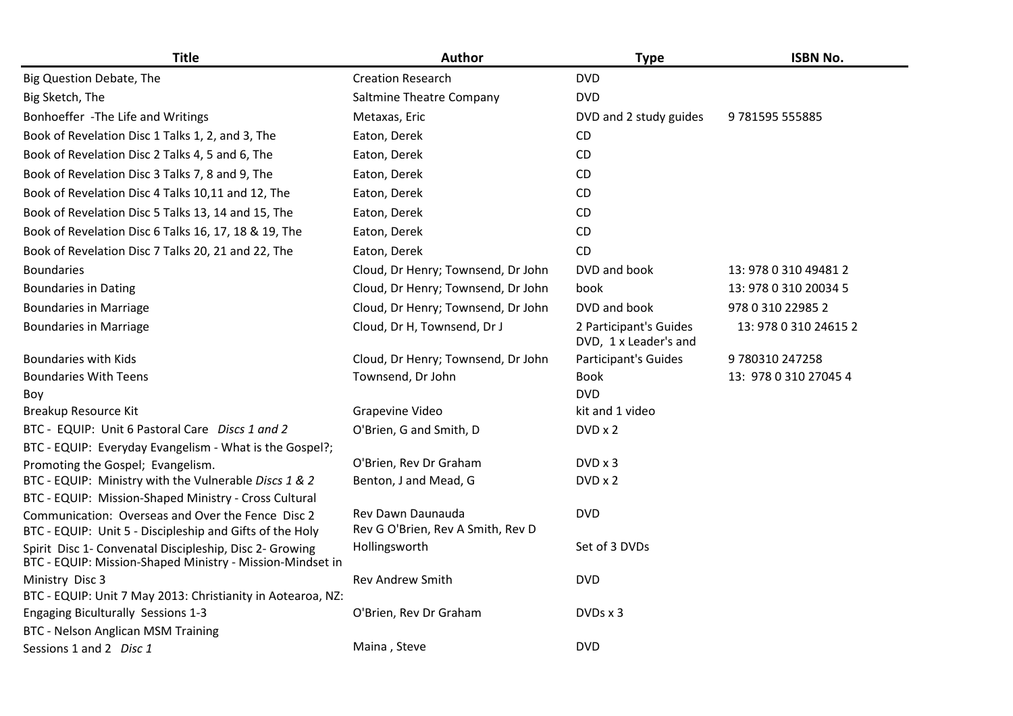| <b>Title</b>                                                                                                         | Author                                                 | <b>Type</b>                                     | <b>ISBN No.</b>       |
|----------------------------------------------------------------------------------------------------------------------|--------------------------------------------------------|-------------------------------------------------|-----------------------|
| Big Question Debate, The                                                                                             | <b>Creation Research</b>                               | <b>DVD</b>                                      |                       |
| Big Sketch, The                                                                                                      | Saltmine Theatre Company                               | <b>DVD</b>                                      |                       |
| Bonhoeffer - The Life and Writings                                                                                   | Metaxas, Eric                                          | DVD and 2 study guides                          | 9 781595 555885       |
| Book of Revelation Disc 1 Talks 1, 2, and 3, The                                                                     | Eaton, Derek                                           | CD                                              |                       |
| Book of Revelation Disc 2 Talks 4, 5 and 6, The                                                                      | Eaton, Derek                                           | <b>CD</b>                                       |                       |
| Book of Revelation Disc 3 Talks 7, 8 and 9, The                                                                      | Eaton, Derek                                           | CD.                                             |                       |
| Book of Revelation Disc 4 Talks 10,11 and 12, The                                                                    | Eaton, Derek                                           | CD.                                             |                       |
| Book of Revelation Disc 5 Talks 13, 14 and 15, The                                                                   | Eaton, Derek                                           | CD.                                             |                       |
| Book of Revelation Disc 6 Talks 16, 17, 18 & 19, The                                                                 | Eaton, Derek                                           | CD.                                             |                       |
| Book of Revelation Disc 7 Talks 20, 21 and 22, The                                                                   | Eaton, Derek                                           | CD                                              |                       |
| <b>Boundaries</b>                                                                                                    | Cloud, Dr Henry; Townsend, Dr John                     | DVD and book                                    | 13: 978 0 310 49481 2 |
| <b>Boundaries in Dating</b>                                                                                          | Cloud, Dr Henry; Townsend, Dr John                     | book                                            | 13: 978 0 310 20034 5 |
| <b>Boundaries in Marriage</b>                                                                                        | Cloud, Dr Henry; Townsend, Dr John                     | DVD and book                                    | 978 0 310 22985 2     |
| <b>Boundaries in Marriage</b>                                                                                        | Cloud, Dr H, Townsend, Dr J                            | 2 Participant's Guides<br>DVD, 1 x Leader's and | 13: 978 0 310 24615 2 |
| <b>Boundaries with Kids</b>                                                                                          | Cloud, Dr Henry; Townsend, Dr John                     | <b>Participant's Guides</b>                     | 9780310247258         |
| <b>Boundaries With Teens</b>                                                                                         | Townsend, Dr John                                      | <b>Book</b>                                     | 13: 978 0 310 27045 4 |
| Boy                                                                                                                  |                                                        | <b>DVD</b>                                      |                       |
| Breakup Resource Kit                                                                                                 | Grapevine Video                                        | kit and 1 video                                 |                       |
| BTC - EQUIP: Unit 6 Pastoral Care Discs 1 and 2                                                                      | O'Brien, G and Smith, D                                | $DVD \times 2$                                  |                       |
| BTC - EQUIP: Everyday Evangelism - What is the Gospel?;                                                              |                                                        |                                                 |                       |
| Promoting the Gospel; Evangelism.                                                                                    | O'Brien, Rev Dr Graham                                 | DVD x 3                                         |                       |
| BTC - EQUIP: Ministry with the Vulnerable Discs 1 & 2                                                                | Benton, J and Mead, G                                  | DVD x 2                                         |                       |
| BTC - EQUIP: Mission-Shaped Ministry - Cross Cultural                                                                |                                                        |                                                 |                       |
| Communication: Overseas and Over the Fence Disc 2<br>BTC - EQUIP: Unit 5 - Discipleship and Gifts of the Holy        | Rev Dawn Daunauda<br>Rev G O'Brien, Rev A Smith, Rev D | <b>DVD</b>                                      |                       |
| Spirit Disc 1- Convenatal Discipleship, Disc 2- Growing<br>BTC - EQUIP: Mission-Shaped Ministry - Mission-Mindset in | Hollingsworth                                          | Set of 3 DVDs                                   |                       |
| Ministry Disc 3                                                                                                      | <b>Rev Andrew Smith</b>                                | <b>DVD</b>                                      |                       |
| BTC - EQUIP: Unit 7 May 2013: Christianity in Aotearoa, NZ:                                                          |                                                        |                                                 |                       |
| Engaging Biculturally Sessions 1-3                                                                                   | O'Brien, Rev Dr Graham                                 | $DVDs \times 3$                                 |                       |
| BTC - Nelson Anglican MSM Training                                                                                   |                                                        |                                                 |                       |
| Sessions 1 and 2 Disc 1                                                                                              | Maina, Steve                                           | <b>DVD</b>                                      |                       |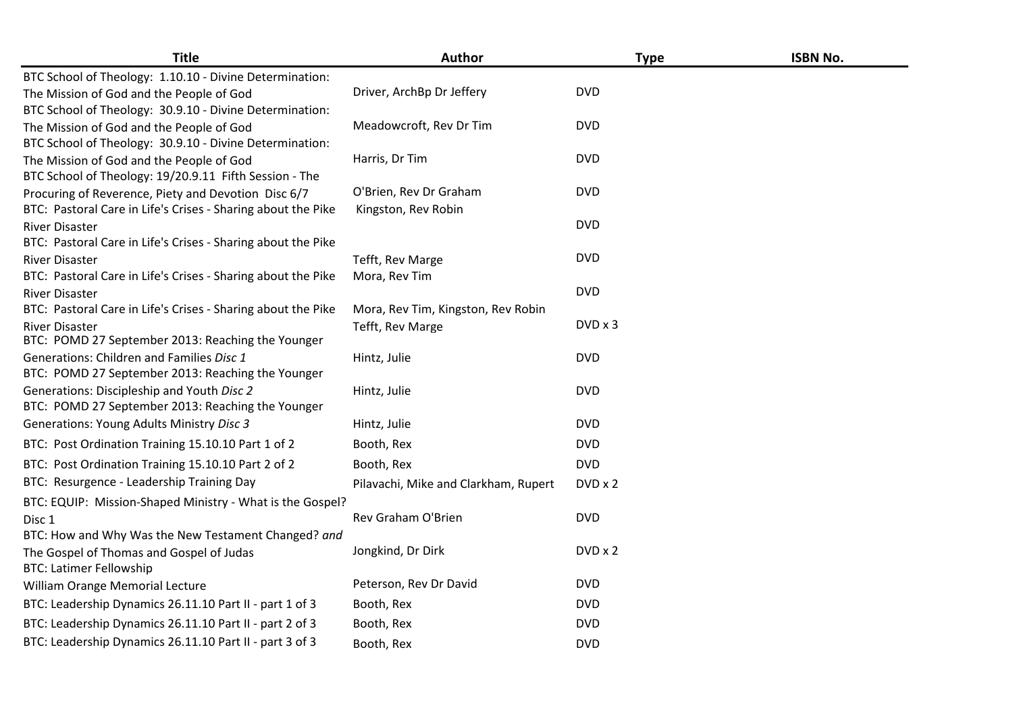| <b>Title</b>                                                                          | Author                               | <b>Type</b> | <b>ISBN No.</b> |
|---------------------------------------------------------------------------------------|--------------------------------------|-------------|-----------------|
| BTC School of Theology: 1.10.10 - Divine Determination:                               |                                      |             |                 |
| The Mission of God and the People of God                                              | Driver, ArchBp Dr Jeffery            | <b>DVD</b>  |                 |
| BTC School of Theology: 30.9.10 - Divine Determination:                               |                                      |             |                 |
| The Mission of God and the People of God                                              | Meadowcroft, Rev Dr Tim              | <b>DVD</b>  |                 |
| BTC School of Theology: 30.9.10 - Divine Determination:                               |                                      |             |                 |
| The Mission of God and the People of God                                              | Harris, Dr Tim                       | <b>DVD</b>  |                 |
| BTC School of Theology: 19/20.9.11 Fifth Session - The                                |                                      |             |                 |
| Procuring of Reverence, Piety and Devotion Disc 6/7                                   | O'Brien, Rev Dr Graham               | <b>DVD</b>  |                 |
| BTC: Pastoral Care in Life's Crises - Sharing about the Pike                          | Kingston, Rev Robin                  |             |                 |
| River Disaster                                                                        |                                      | <b>DVD</b>  |                 |
| BTC: Pastoral Care in Life's Crises - Sharing about the Pike                          |                                      |             |                 |
| <b>River Disaster</b>                                                                 | Tefft, Rev Marge                     | <b>DVD</b>  |                 |
| BTC: Pastoral Care in Life's Crises - Sharing about the Pike                          | Mora, Rev Tim                        | <b>DVD</b>  |                 |
| <b>River Disaster</b><br>BTC: Pastoral Care in Life's Crises - Sharing about the Pike | Mora, Rev Tim, Kingston, Rev Robin   |             |                 |
| <b>River Disaster</b>                                                                 | Tefft, Rev Marge                     | DVD x 3     |                 |
| BTC: POMD 27 September 2013: Reaching the Younger                                     |                                      |             |                 |
| Generations: Children and Families Disc 1                                             | Hintz, Julie                         | <b>DVD</b>  |                 |
| BTC: POMD 27 September 2013: Reaching the Younger                                     |                                      |             |                 |
| Generations: Discipleship and Youth Disc 2                                            | Hintz, Julie                         | <b>DVD</b>  |                 |
| BTC: POMD 27 September 2013: Reaching the Younger                                     |                                      |             |                 |
| <b>Generations: Young Adults Ministry Disc 3</b>                                      | Hintz, Julie                         | <b>DVD</b>  |                 |
| BTC: Post Ordination Training 15.10.10 Part 1 of 2                                    | Booth, Rex                           | <b>DVD</b>  |                 |
| BTC: Post Ordination Training 15.10.10 Part 2 of 2                                    | Booth, Rex                           | <b>DVD</b>  |                 |
| BTC: Resurgence - Leadership Training Day                                             | Pilavachi, Mike and Clarkham, Rupert | DVD x 2     |                 |
| BTC: EQUIP: Mission-Shaped Ministry - What is the Gospel?                             |                                      |             |                 |
| Disc 1                                                                                | Rev Graham O'Brien                   | <b>DVD</b>  |                 |
| BTC: How and Why Was the New Testament Changed? and                                   |                                      |             |                 |
| The Gospel of Thomas and Gospel of Judas<br><b>BTC: Latimer Fellowship</b>            | Jongkind, Dr Dirk                    | DVD x 2     |                 |
| William Orange Memorial Lecture                                                       | Peterson, Rev Dr David               | <b>DVD</b>  |                 |
| BTC: Leadership Dynamics 26.11.10 Part II - part 1 of 3                               | Booth, Rex                           | <b>DVD</b>  |                 |
| BTC: Leadership Dynamics 26.11.10 Part II - part 2 of 3                               | Booth, Rex                           | <b>DVD</b>  |                 |
| BTC: Leadership Dynamics 26.11.10 Part II - part 3 of 3                               | Booth, Rex                           | <b>DVD</b>  |                 |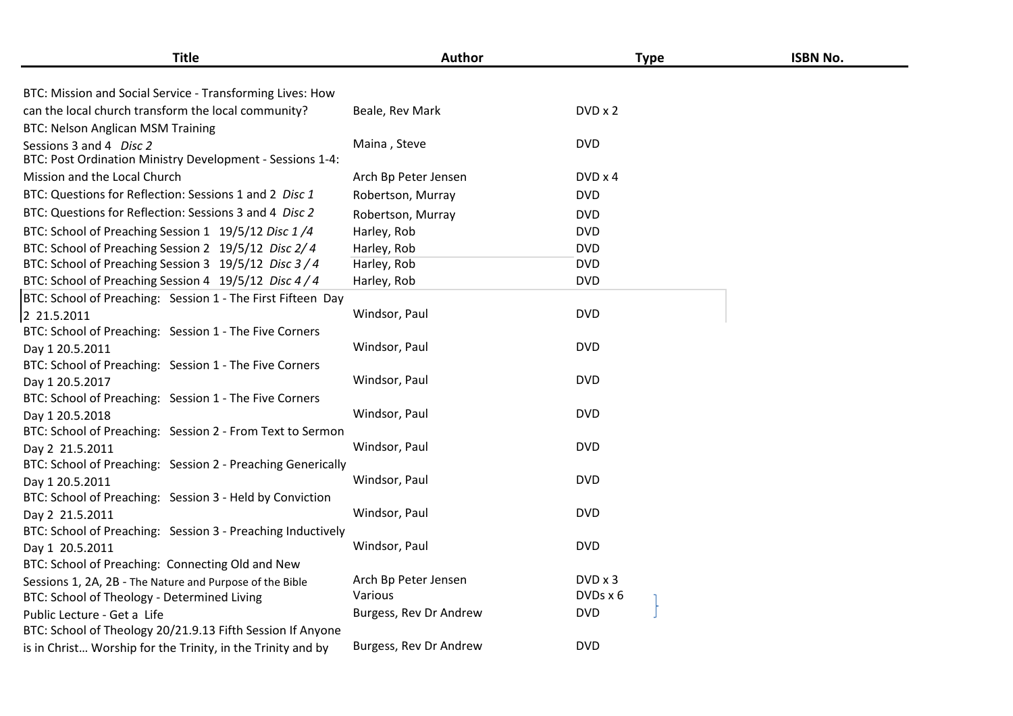| <b>Title</b>                                                                         | Author                 |                | <b>Type</b> | <b>ISBN No.</b> |
|--------------------------------------------------------------------------------------|------------------------|----------------|-------------|-----------------|
| BTC: Mission and Social Service - Transforming Lives: How                            |                        |                |             |                 |
| can the local church transform the local community?                                  | Beale, Rev Mark        | DVD x 2        |             |                 |
| <b>BTC: Nelson Anglican MSM Training</b>                                             |                        |                |             |                 |
| Sessions 3 and 4 Disc 2<br>BTC: Post Ordination Ministry Development - Sessions 1-4: | Maina, Steve           | <b>DVD</b>     |             |                 |
| Mission and the Local Church                                                         | Arch Bp Peter Jensen   | $DVD \times 4$ |             |                 |
| BTC: Questions for Reflection: Sessions 1 and 2 Disc 1                               | Robertson, Murray      | <b>DVD</b>     |             |                 |
| BTC: Questions for Reflection: Sessions 3 and 4 Disc 2                               | Robertson, Murray      | <b>DVD</b>     |             |                 |
| BTC: School of Preaching Session 1 19/5/12 Disc 1/4                                  | Harley, Rob            | <b>DVD</b>     |             |                 |
| BTC: School of Preaching Session 2 19/5/12 Disc 2/4                                  | Harley, Rob            | <b>DVD</b>     |             |                 |
| BTC: School of Preaching Session 3 19/5/12 Disc 3/4                                  | Harley, Rob            | <b>DVD</b>     |             |                 |
| BTC: School of Preaching Session 4 19/5/12 Disc 4/4                                  | Harley, Rob            | <b>DVD</b>     |             |                 |
| BTC: School of Preaching: Session 1 - The First Fifteen Day                          |                        |                |             |                 |
| 2 21.5.2011                                                                          | Windsor, Paul          | <b>DVD</b>     |             |                 |
| BTC: School of Preaching: Session 1 - The Five Corners                               |                        |                |             |                 |
| Day 1 20.5.2011                                                                      | Windsor, Paul          | <b>DVD</b>     |             |                 |
| BTC: School of Preaching: Session 1 - The Five Corners                               |                        |                |             |                 |
| Day 1 20.5.2017                                                                      | Windsor, Paul          | <b>DVD</b>     |             |                 |
| BTC: School of Preaching: Session 1 - The Five Corners                               |                        |                |             |                 |
| Day 1 20.5.2018                                                                      | Windsor, Paul          | <b>DVD</b>     |             |                 |
| BTC: School of Preaching: Session 2 - From Text to Sermon                            |                        |                |             |                 |
| Day 2 21.5.2011                                                                      | Windsor, Paul          | <b>DVD</b>     |             |                 |
| BTC: School of Preaching: Session 2 - Preaching Generically                          |                        |                |             |                 |
| Day 1 20.5.2011                                                                      | Windsor, Paul          | <b>DVD</b>     |             |                 |
| BTC: School of Preaching: Session 3 - Held by Conviction                             |                        |                |             |                 |
| Day 2 21.5.2011                                                                      | Windsor, Paul          | <b>DVD</b>     |             |                 |
| BTC: School of Preaching: Session 3 - Preaching Inductively                          |                        |                |             |                 |
| Day 1 20.5.2011                                                                      | Windsor, Paul          | <b>DVD</b>     |             |                 |
| BTC: School of Preaching: Connecting Old and New                                     |                        |                |             |                 |
| Sessions 1, 2A, 2B - The Nature and Purpose of the Bible                             | Arch Bp Peter Jensen   | DVD x 3        |             |                 |
| BTC: School of Theology - Determined Living                                          | Various                | DVDs x 6       |             |                 |
| Public Lecture - Get a Life                                                          | Burgess, Rev Dr Andrew | <b>DVD</b>     |             |                 |
| BTC: School of Theology 20/21.9.13 Fifth Session If Anyone                           |                        |                |             |                 |
| is in Christ Worship for the Trinity, in the Trinity and by                          | Burgess, Rev Dr Andrew | <b>DVD</b>     |             |                 |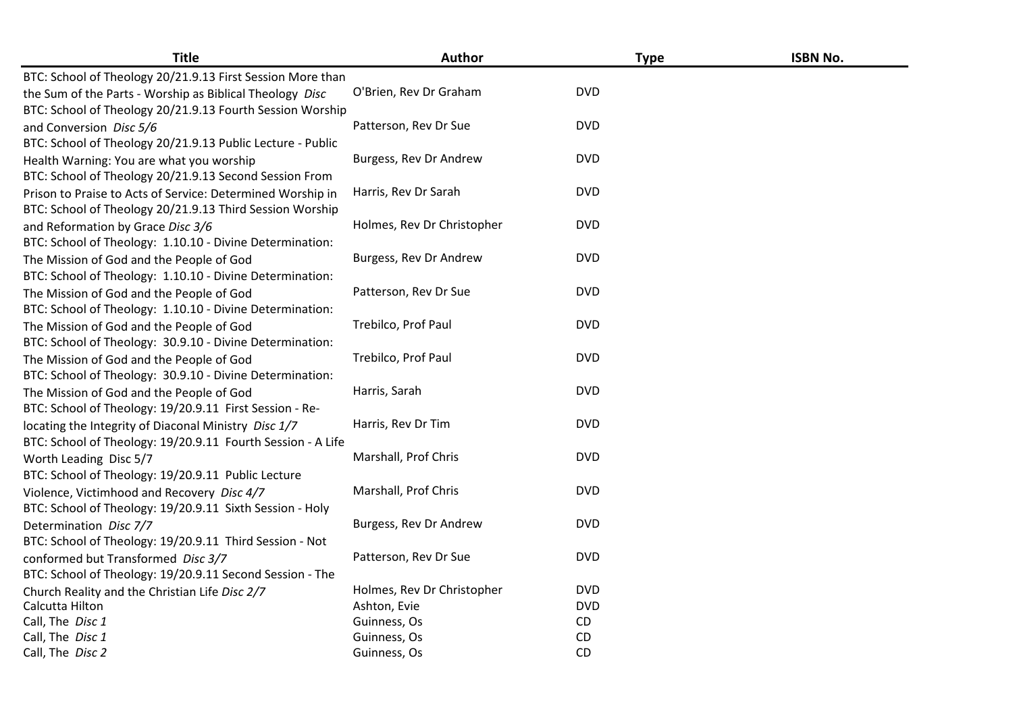| <b>Title</b>                                                                                           | <b>Author</b>              | <b>Type</b> | <b>ISBN No.</b> |
|--------------------------------------------------------------------------------------------------------|----------------------------|-------------|-----------------|
| BTC: School of Theology 20/21.9.13 First Session More than                                             |                            |             |                 |
| the Sum of the Parts - Worship as Biblical Theology Disc                                               | O'Brien, Rev Dr Graham     | <b>DVD</b>  |                 |
| BTC: School of Theology 20/21.9.13 Fourth Session Worship                                              |                            |             |                 |
| and Conversion Disc 5/6                                                                                | Patterson, Rev Dr Sue      | <b>DVD</b>  |                 |
| BTC: School of Theology 20/21.9.13 Public Lecture - Public                                             |                            |             |                 |
| Health Warning: You are what you worship                                                               | Burgess, Rev Dr Andrew     | <b>DVD</b>  |                 |
| BTC: School of Theology 20/21.9.13 Second Session From                                                 |                            | <b>DVD</b>  |                 |
| Prison to Praise to Acts of Service: Determined Worship in                                             | Harris, Rev Dr Sarah       |             |                 |
| BTC: School of Theology 20/21.9.13 Third Session Worship                                               | Holmes, Rev Dr Christopher | <b>DVD</b>  |                 |
| and Reformation by Grace Disc 3/6                                                                      |                            |             |                 |
| BTC: School of Theology: 1.10.10 - Divine Determination:                                               |                            | <b>DVD</b>  |                 |
| The Mission of God and the People of God                                                               | Burgess, Rev Dr Andrew     |             |                 |
| BTC: School of Theology: 1.10.10 - Divine Determination:                                               | Patterson, Rev Dr Sue      | <b>DVD</b>  |                 |
| The Mission of God and the People of God                                                               |                            |             |                 |
| BTC: School of Theology: 1.10.10 - Divine Determination:                                               | Trebilco, Prof Paul        | <b>DVD</b>  |                 |
| The Mission of God and the People of God                                                               |                            |             |                 |
| BTC: School of Theology: 30.9.10 - Divine Determination:                                               | Trebilco, Prof Paul        | <b>DVD</b>  |                 |
| The Mission of God and the People of God                                                               |                            |             |                 |
| BTC: School of Theology: 30.9.10 - Divine Determination:                                               | Harris, Sarah              | <b>DVD</b>  |                 |
| The Mission of God and the People of God                                                               |                            |             |                 |
| BTC: School of Theology: 19/20.9.11 First Session - Re-                                                | Harris, Rev Dr Tim         | <b>DVD</b>  |                 |
| locating the Integrity of Diaconal Ministry Disc 1/7                                                   |                            |             |                 |
| BTC: School of Theology: 19/20.9.11 Fourth Session - A Life                                            | Marshall, Prof Chris       | <b>DVD</b>  |                 |
| Worth Leading Disc 5/7                                                                                 |                            |             |                 |
| BTC: School of Theology: 19/20.9.11 Public Lecture                                                     | Marshall, Prof Chris       | <b>DVD</b>  |                 |
| Violence, Victimhood and Recovery Disc 4/7<br>BTC: School of Theology: 19/20.9.11 Sixth Session - Holy |                            |             |                 |
|                                                                                                        | Burgess, Rev Dr Andrew     | <b>DVD</b>  |                 |
| Determination Disc 7/7<br>BTC: School of Theology: 19/20.9.11 Third Session - Not                      |                            |             |                 |
| conformed but Transformed Disc 3/7                                                                     | Patterson, Rev Dr Sue      | <b>DVD</b>  |                 |
| BTC: School of Theology: 19/20.9.11 Second Session - The                                               |                            |             |                 |
|                                                                                                        | Holmes, Rev Dr Christopher | <b>DVD</b>  |                 |
| Church Reality and the Christian Life Disc 2/7<br>Calcutta Hilton                                      | Ashton, Evie               | <b>DVD</b>  |                 |
| Call, The Disc 1                                                                                       | Guinness, Os               | CD          |                 |
| Call, The Disc 1                                                                                       | Guinness, Os               | <b>CD</b>   |                 |
| Call, The Disc 2                                                                                       | Guinness, Os               | CD          |                 |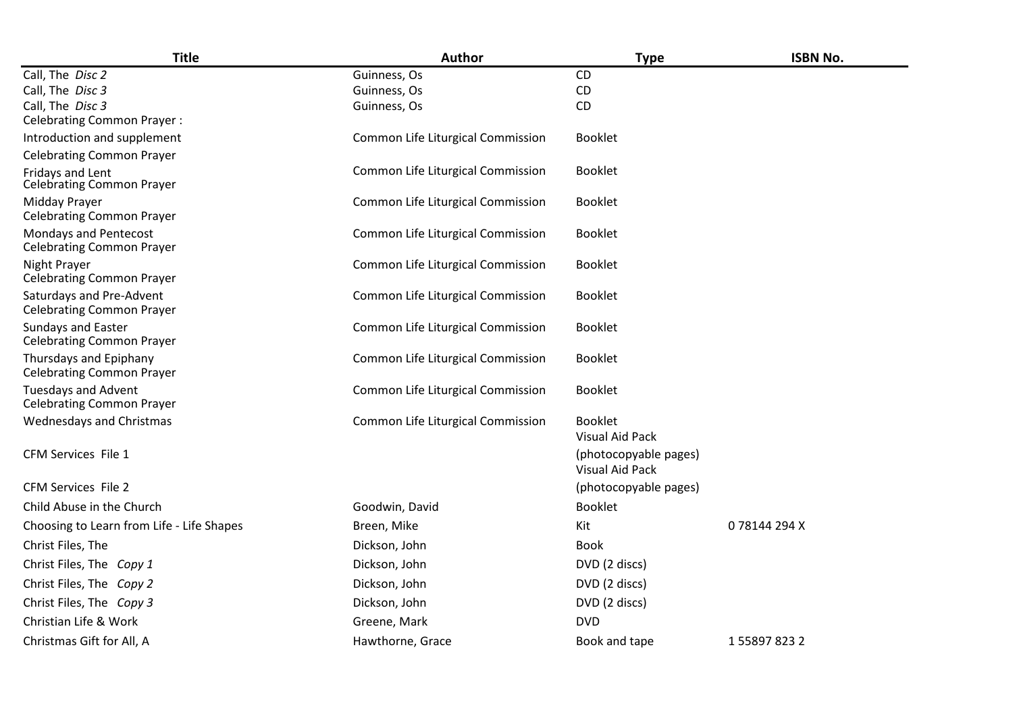| <b>Title</b>                                                   | Author                            | <b>Type</b>                                     | <b>ISBN No.</b>     |
|----------------------------------------------------------------|-----------------------------------|-------------------------------------------------|---------------------|
| Call, The Disc 2                                               | Guinness, Os                      | CD                                              |                     |
| Call, The Disc 3                                               | Guinness, Os                      | CD                                              |                     |
| Call, The Disc 3<br><b>Celebrating Common Prayer:</b>          | Guinness, Os                      | CD                                              |                     |
| Introduction and supplement                                    | Common Life Liturgical Commission | <b>Booklet</b>                                  |                     |
| <b>Celebrating Common Prayer</b>                               |                                   |                                                 |                     |
| Fridays and Lent<br><b>Celebrating Common Prayer</b>           | Common Life Liturgical Commission | <b>Booklet</b>                                  |                     |
| Midday Prayer<br><b>Celebrating Common Prayer</b>              | Common Life Liturgical Commission | <b>Booklet</b>                                  |                     |
| Mondays and Pentecost<br><b>Celebrating Common Prayer</b>      | Common Life Liturgical Commission | <b>Booklet</b>                                  |                     |
| Night Prayer<br><b>Celebrating Common Prayer</b>               | Common Life Liturgical Commission | <b>Booklet</b>                                  |                     |
| Saturdays and Pre-Advent<br><b>Celebrating Common Prayer</b>   | Common Life Liturgical Commission | <b>Booklet</b>                                  |                     |
| Sundays and Easter<br><b>Celebrating Common Prayer</b>         | Common Life Liturgical Commission | <b>Booklet</b>                                  |                     |
| Thursdays and Epiphany<br><b>Celebrating Common Prayer</b>     | Common Life Liturgical Commission | <b>Booklet</b>                                  |                     |
| <b>Tuesdays and Advent</b><br><b>Celebrating Common Prayer</b> | Common Life Liturgical Commission | <b>Booklet</b>                                  |                     |
| Wednesdays and Christmas                                       | Common Life Liturgical Commission | <b>Booklet</b><br><b>Visual Aid Pack</b>        |                     |
| CFM Services File 1                                            |                                   | (photocopyable pages)<br><b>Visual Aid Pack</b> |                     |
| <b>CFM Services File 2</b>                                     |                                   | (photocopyable pages)                           |                     |
| Child Abuse in the Church                                      | Goodwin, David                    | <b>Booklet</b>                                  |                     |
| Choosing to Learn from Life - Life Shapes                      | Breen, Mike                       | Kit                                             | 078144294X          |
| Christ Files, The                                              | Dickson, John                     | <b>Book</b>                                     |                     |
| Christ Files, The Copy 1                                       | Dickson, John                     | DVD (2 discs)                                   |                     |
| Christ Files, The Copy 2                                       | Dickson, John                     | DVD (2 discs)                                   |                     |
| Christ Files, The Copy 3                                       | Dickson, John                     | DVD (2 discs)                                   |                     |
| Christian Life & Work                                          | Greene, Mark                      | <b>DVD</b>                                      |                     |
| Christmas Gift for All, A                                      | Hawthorne, Grace                  | Book and tape                                   | 1 5 5 8 9 7 8 2 3 2 |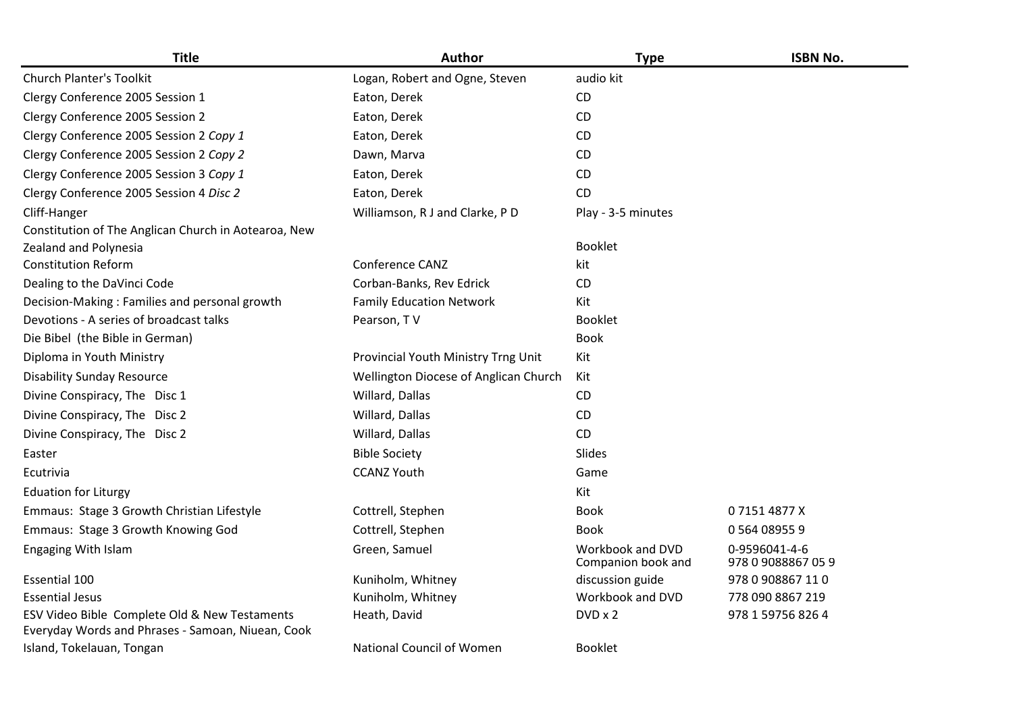| <b>Title</b>                                                                                       | <b>Author</b>                         | <b>Type</b>                            | <b>ISBN No.</b>                     |
|----------------------------------------------------------------------------------------------------|---------------------------------------|----------------------------------------|-------------------------------------|
| <b>Church Planter's Toolkit</b>                                                                    | Logan, Robert and Ogne, Steven        | audio kit                              |                                     |
| Clergy Conference 2005 Session 1                                                                   | Eaton, Derek                          | CD                                     |                                     |
| Clergy Conference 2005 Session 2                                                                   | Eaton, Derek                          | CD                                     |                                     |
| Clergy Conference 2005 Session 2 Copy 1                                                            | Eaton, Derek                          | CD                                     |                                     |
| Clergy Conference 2005 Session 2 Copy 2                                                            | Dawn, Marva                           | CD                                     |                                     |
| Clergy Conference 2005 Session 3 Copy 1                                                            | Eaton, Derek                          | CD.                                    |                                     |
| Clergy Conference 2005 Session 4 Disc 2                                                            | Eaton, Derek                          | <b>CD</b>                              |                                     |
| Cliff-Hanger                                                                                       | Williamson, R J and Clarke, P D       | Play - 3-5 minutes                     |                                     |
| Constitution of The Anglican Church in Aotearoa, New                                               |                                       |                                        |                                     |
| Zealand and Polynesia                                                                              |                                       | <b>Booklet</b>                         |                                     |
| <b>Constitution Reform</b>                                                                         | Conference CANZ                       | kit                                    |                                     |
| Dealing to the DaVinci Code                                                                        | Corban-Banks, Rev Edrick              | CD                                     |                                     |
| Decision-Making: Families and personal growth                                                      | <b>Family Education Network</b>       | Kit                                    |                                     |
| Devotions - A series of broadcast talks                                                            | Pearson, TV                           | <b>Booklet</b>                         |                                     |
| Die Bibel (the Bible in German)                                                                    |                                       | <b>Book</b>                            |                                     |
| Diploma in Youth Ministry                                                                          | Provincial Youth Ministry Trng Unit   | Kit                                    |                                     |
| <b>Disability Sunday Resource</b>                                                                  | Wellington Diocese of Anglican Church | Kit                                    |                                     |
| Divine Conspiracy, The Disc 1                                                                      | Willard, Dallas                       | CD                                     |                                     |
| Divine Conspiracy, The Disc 2                                                                      | Willard, Dallas                       | CD                                     |                                     |
| Divine Conspiracy, The Disc 2                                                                      | Willard, Dallas                       | CD                                     |                                     |
| Easter                                                                                             | <b>Bible Society</b>                  | Slides                                 |                                     |
| Ecutrivia                                                                                          | <b>CCANZ Youth</b>                    | Game                                   |                                     |
| <b>Eduation for Liturgy</b>                                                                        |                                       | Kit                                    |                                     |
| Emmaus: Stage 3 Growth Christian Lifestyle                                                         | Cottrell, Stephen                     | <b>Book</b>                            | 071514877X                          |
| Emmaus: Stage 3 Growth Knowing God                                                                 | Cottrell, Stephen                     | <b>Book</b>                            | 0 564 08955 9                       |
| Engaging With Islam                                                                                | Green, Samuel                         | Workbook and DVD<br>Companion book and | 0-9596041-4-6<br>978 0 9088867 05 9 |
| <b>Essential 100</b>                                                                               | Kuniholm, Whitney                     | discussion guide                       | 978 0 908867 110                    |
| <b>Essential Jesus</b>                                                                             | Kuniholm, Whitney                     | Workbook and DVD                       | 778 090 8867 219                    |
| ESV Video Bible Complete Old & New Testaments<br>Everyday Words and Phrases - Samoan, Niuean, Cook | Heath, David                          | DVD x 2                                | 978 1 59756 826 4                   |
| Island, Tokelauan, Tongan                                                                          | National Council of Women             | <b>Booklet</b>                         |                                     |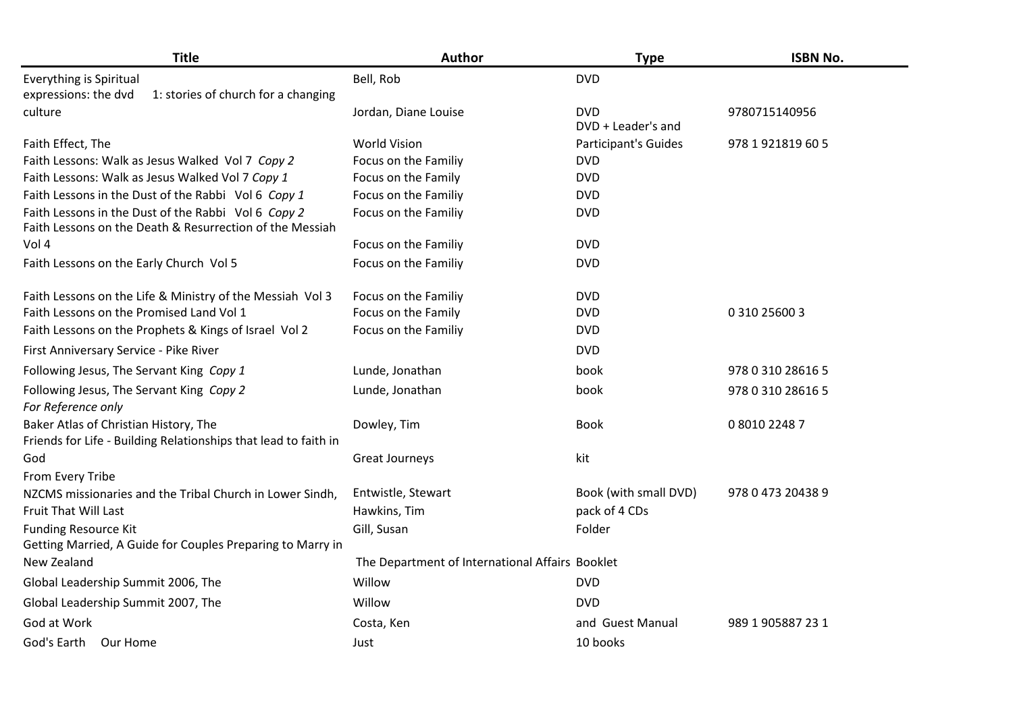| <b>Title</b>                                                                                                    | Author                                          | <b>Type</b>                      | <b>ISBN No.</b>   |
|-----------------------------------------------------------------------------------------------------------------|-------------------------------------------------|----------------------------------|-------------------|
| Everything is Spiritual                                                                                         | Bell, Rob                                       | <b>DVD</b>                       |                   |
| expressions: the dvd<br>1: stories of church for a changing                                                     |                                                 |                                  |                   |
| culture                                                                                                         | Jordan, Diane Louise                            | <b>DVD</b><br>DVD + Leader's and | 9780715140956     |
| Faith Effect, The                                                                                               | <b>World Vision</b>                             | Participant's Guides             | 978 1 921819 60 5 |
| Faith Lessons: Walk as Jesus Walked Vol 7 Copy 2                                                                | Focus on the Familiy                            | <b>DVD</b>                       |                   |
| Faith Lessons: Walk as Jesus Walked Vol 7 Copy 1                                                                | Focus on the Family                             | <b>DVD</b>                       |                   |
| Faith Lessons in the Dust of the Rabbi Vol 6 Copy 1                                                             | Focus on the Familiy                            | <b>DVD</b>                       |                   |
| Faith Lessons in the Dust of the Rabbi Vol 6 Copy 2<br>Faith Lessons on the Death & Resurrection of the Messiah | Focus on the Familiy                            | <b>DVD</b>                       |                   |
| Vol 4                                                                                                           | Focus on the Familiy                            | <b>DVD</b>                       |                   |
| Faith Lessons on the Early Church Vol 5                                                                         | Focus on the Familiy                            | <b>DVD</b>                       |                   |
| Faith Lessons on the Life & Ministry of the Messiah Vol 3                                                       | Focus on the Familiy                            | <b>DVD</b>                       |                   |
| Faith Lessons on the Promised Land Vol 1                                                                        | Focus on the Family                             | <b>DVD</b>                       | 0 310 25600 3     |
| Faith Lessons on the Prophets & Kings of Israel Vol 2                                                           | Focus on the Familiy                            | <b>DVD</b>                       |                   |
| First Anniversary Service - Pike River                                                                          |                                                 | <b>DVD</b>                       |                   |
| Following Jesus, The Servant King Copy 1                                                                        | Lunde, Jonathan                                 | book                             | 978 0 310 28616 5 |
| Following Jesus, The Servant King Copy 2<br>For Reference only                                                  | Lunde, Jonathan                                 | book                             | 978 0 310 28616 5 |
| Baker Atlas of Christian History, The<br>Friends for Life - Building Relationships that lead to faith in        | Dowley, Tim                                     | <b>Book</b>                      | 0 8010 2248 7     |
| God<br>From Every Tribe                                                                                         | <b>Great Journeys</b>                           | kit                              |                   |
| NZCMS missionaries and the Tribal Church in Lower Sindh,                                                        | Entwistle, Stewart                              | Book (with small DVD)            | 978 0 473 20438 9 |
| <b>Fruit That Will Last</b>                                                                                     | Hawkins, Tim                                    | pack of 4 CDs                    |                   |
| <b>Funding Resource Kit</b>                                                                                     | Gill, Susan                                     | Folder                           |                   |
| Getting Married, A Guide for Couples Preparing to Marry in                                                      |                                                 |                                  |                   |
| New Zealand                                                                                                     | The Department of International Affairs Booklet |                                  |                   |
| Global Leadership Summit 2006, The                                                                              | Willow                                          | <b>DVD</b>                       |                   |
| Global Leadership Summit 2007, The                                                                              | Willow                                          | <b>DVD</b>                       |                   |
| God at Work                                                                                                     | Costa, Ken                                      | and Guest Manual                 | 989 1 905887 23 1 |
| God's Earth Our Home                                                                                            | Just                                            | 10 books                         |                   |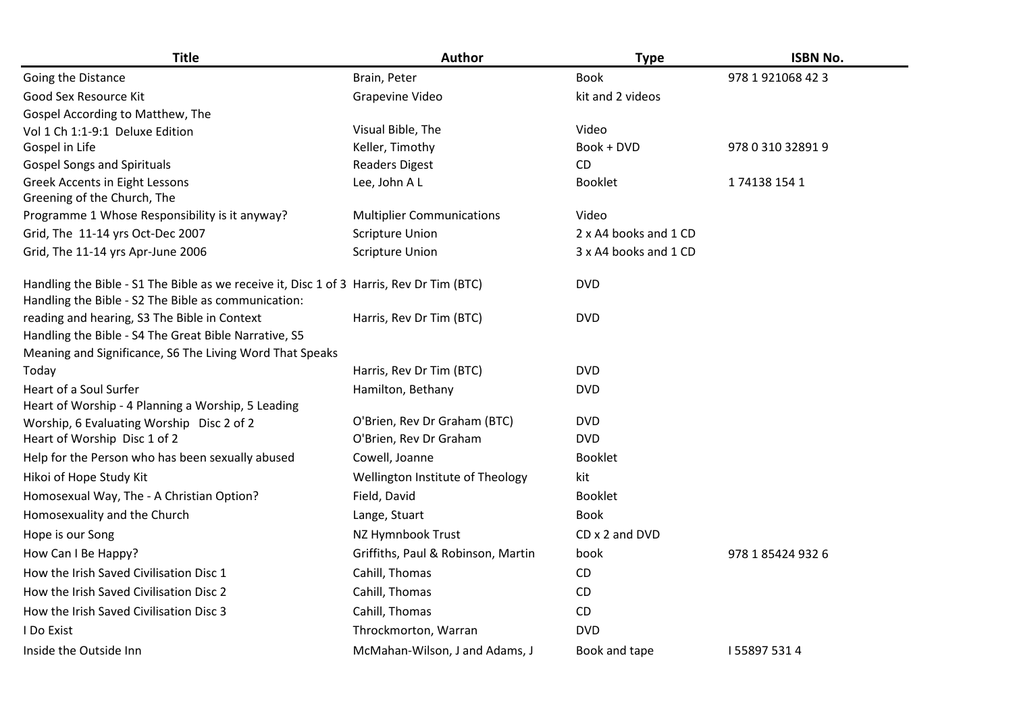| <b>Title</b>                                                                                          | <b>Author</b>                      | <b>Type</b>           | <b>ISBN No.</b>   |
|-------------------------------------------------------------------------------------------------------|------------------------------------|-----------------------|-------------------|
| Going the Distance                                                                                    | Brain, Peter                       | <b>Book</b>           | 978 1 921068 42 3 |
| Good Sex Resource Kit                                                                                 | Grapevine Video                    | kit and 2 videos      |                   |
| Gospel According to Matthew, The                                                                      |                                    |                       |                   |
| Vol 1 Ch 1:1-9:1 Deluxe Edition                                                                       | Visual Bible, The                  | Video                 |                   |
| Gospel in Life                                                                                        | Keller, Timothy                    | Book + DVD            | 978 0 310 32891 9 |
| <b>Gospel Songs and Spirituals</b>                                                                    | <b>Readers Digest</b>              | CD                    |                   |
| Greek Accents in Eight Lessons                                                                        | Lee, John A L                      | <b>Booklet</b>        | 1741381541        |
| Greening of the Church, The                                                                           |                                    |                       |                   |
| Programme 1 Whose Responsibility is it anyway?                                                        | <b>Multiplier Communications</b>   | Video                 |                   |
| Grid, The 11-14 yrs Oct-Dec 2007                                                                      | <b>Scripture Union</b>             | 2 x A4 books and 1 CD |                   |
| Grid, The 11-14 yrs Apr-June 2006                                                                     | <b>Scripture Union</b>             | 3 x A4 books and 1 CD |                   |
| Handling the Bible - S1 The Bible as we receive it, Disc 1 of 3 Harris, Rev Dr Tim (BTC)              |                                    | <b>DVD</b>            |                   |
| Handling the Bible - S2 The Bible as communication:                                                   |                                    | <b>DVD</b>            |                   |
| reading and hearing, S3 The Bible in Context<br>Handling the Bible - S4 The Great Bible Narrative, S5 | Harris, Rev Dr Tim (BTC)           |                       |                   |
| Meaning and Significance, S6 The Living Word That Speaks                                              |                                    |                       |                   |
| Today                                                                                                 | Harris, Rev Dr Tim (BTC)           | <b>DVD</b>            |                   |
| Heart of a Soul Surfer                                                                                | Hamilton, Bethany                  | <b>DVD</b>            |                   |
| Heart of Worship - 4 Planning a Worship, 5 Leading                                                    |                                    |                       |                   |
| Worship, 6 Evaluating Worship Disc 2 of 2                                                             | O'Brien, Rev Dr Graham (BTC)       | <b>DVD</b>            |                   |
| Heart of Worship Disc 1 of 2                                                                          | O'Brien, Rev Dr Graham             | <b>DVD</b>            |                   |
| Help for the Person who has been sexually abused                                                      | Cowell, Joanne                     | <b>Booklet</b>        |                   |
| Hikoi of Hope Study Kit                                                                               | Wellington Institute of Theology   | kit                   |                   |
| Homosexual Way, The - A Christian Option?                                                             | Field, David                       | <b>Booklet</b>        |                   |
| Homosexuality and the Church                                                                          | Lange, Stuart                      | <b>Book</b>           |                   |
| Hope is our Song                                                                                      | NZ Hymnbook Trust                  | CD x 2 and DVD        |                   |
| How Can I Be Happy?                                                                                   | Griffiths, Paul & Robinson, Martin | book                  | 978 1 85424 932 6 |
| How the Irish Saved Civilisation Disc 1                                                               | Cahill, Thomas                     | CD                    |                   |
| How the Irish Saved Civilisation Disc 2                                                               | Cahill, Thomas                     | CD                    |                   |
| How the Irish Saved Civilisation Disc 3                                                               | Cahill, Thomas                     | CD                    |                   |
| <b>I</b> Do Exist                                                                                     | Throckmorton, Warran               | <b>DVD</b>            |                   |
| Inside the Outside Inn                                                                                | McMahan-Wilson, J and Adams, J     | Book and tape         | 1558975314        |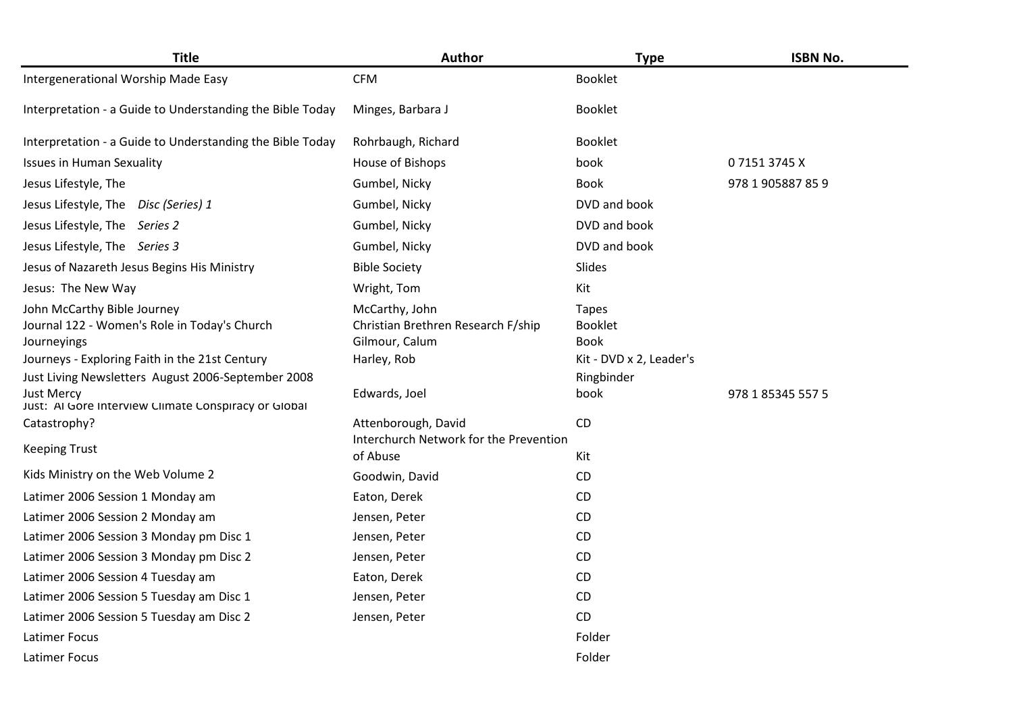| <b>Title</b>                                                                               | Author                                                                 | <b>Type</b>                                   | <b>ISBN No.</b>   |
|--------------------------------------------------------------------------------------------|------------------------------------------------------------------------|-----------------------------------------------|-------------------|
| Intergenerational Worship Made Easy                                                        | <b>CFM</b>                                                             | <b>Booklet</b>                                |                   |
| Interpretation - a Guide to Understanding the Bible Today                                  | Minges, Barbara J                                                      | <b>Booklet</b>                                |                   |
| Interpretation - a Guide to Understanding the Bible Today                                  | Rohrbaugh, Richard                                                     | <b>Booklet</b>                                |                   |
| <b>Issues in Human Sexuality</b>                                                           | House of Bishops                                                       | book                                          | 071513745X        |
| Jesus Lifestyle, The                                                                       | Gumbel, Nicky                                                          | <b>Book</b>                                   | 978 1 905887 85 9 |
| Jesus Lifestyle, The<br>Disc (Series) 1                                                    | Gumbel, Nicky                                                          | DVD and book                                  |                   |
| Jesus Lifestyle, The Series 2                                                              | Gumbel, Nicky                                                          | DVD and book                                  |                   |
| Jesus Lifestyle, The Series 3                                                              | Gumbel, Nicky                                                          | DVD and book                                  |                   |
| Jesus of Nazareth Jesus Begins His Ministry                                                | <b>Bible Society</b>                                                   | Slides                                        |                   |
| Jesus: The New Way                                                                         | Wright, Tom                                                            | Kit                                           |                   |
| John McCarthy Bible Journey<br>Journal 122 - Women's Role in Today's Church<br>Journeyings | McCarthy, John<br>Christian Brethren Research F/ship<br>Gilmour, Calum | <b>Tapes</b><br><b>Booklet</b><br><b>Book</b> |                   |
| Journeys - Exploring Faith in the 21st Century                                             | Harley, Rob                                                            | Kit - DVD x 2, Leader's                       |                   |
| Just Living Newsletters August 2006-September 2008                                         |                                                                        | Ringbinder                                    |                   |
| <b>Just Mercy</b><br>Just: Al Gore Interview Climate Conspiracy or Global                  | Edwards, Joel                                                          | book                                          | 978 1 85345 557 5 |
| Catastrophy?                                                                               | Attenborough, David                                                    | <b>CD</b>                                     |                   |
| <b>Keeping Trust</b>                                                                       | Interchurch Network for the Prevention<br>of Abuse                     | Kit                                           |                   |
| Kids Ministry on the Web Volume 2                                                          | Goodwin, David                                                         | CD                                            |                   |
| Latimer 2006 Session 1 Monday am                                                           | Eaton, Derek                                                           | CD                                            |                   |
| Latimer 2006 Session 2 Monday am                                                           | Jensen, Peter                                                          | CD                                            |                   |
| Latimer 2006 Session 3 Monday pm Disc 1                                                    | Jensen, Peter                                                          | CD                                            |                   |
| Latimer 2006 Session 3 Monday pm Disc 2                                                    | Jensen, Peter                                                          | CD                                            |                   |
| Latimer 2006 Session 4 Tuesday am                                                          | Eaton, Derek                                                           | CD                                            |                   |
| Latimer 2006 Session 5 Tuesday am Disc 1                                                   | Jensen, Peter                                                          | CD                                            |                   |
| Latimer 2006 Session 5 Tuesday am Disc 2                                                   | Jensen, Peter                                                          | CD                                            |                   |
| <b>Latimer Focus</b>                                                                       |                                                                        | Folder                                        |                   |
| <b>Latimer Focus</b>                                                                       |                                                                        | Folder                                        |                   |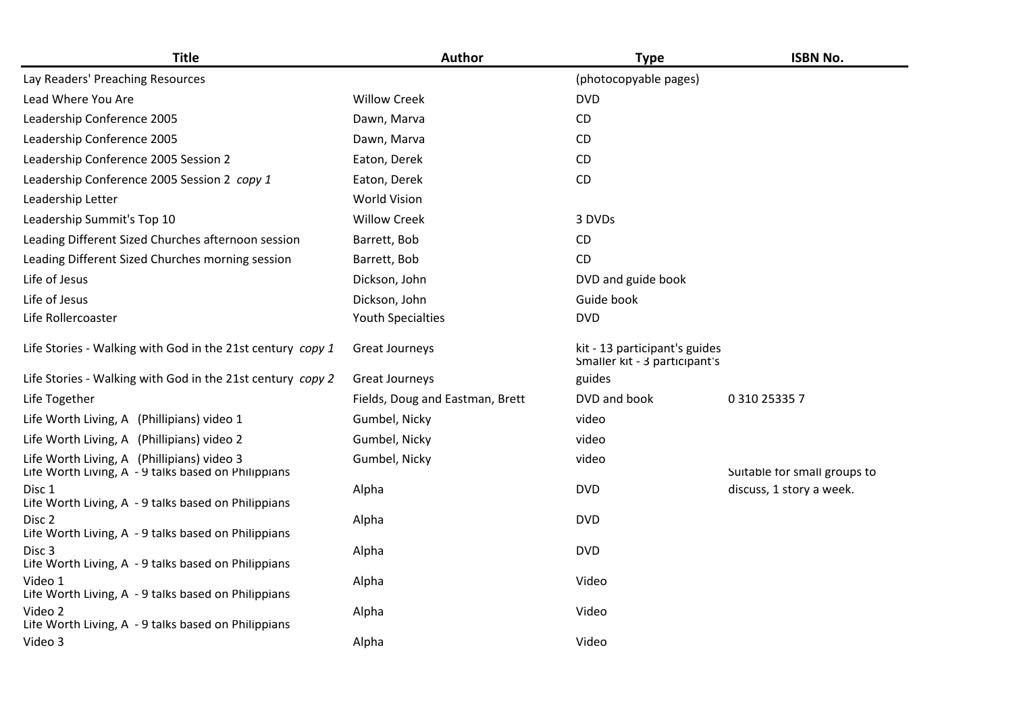| <b>Title</b>                                                                                      | <b>Author</b>                   | <b>Type</b>                                                    | <b>ISBN No.</b>              |
|---------------------------------------------------------------------------------------------------|---------------------------------|----------------------------------------------------------------|------------------------------|
| Lay Readers' Preaching Resources                                                                  |                                 | (photocopyable pages)                                          |                              |
| Lead Where You Are                                                                                | <b>Willow Creek</b>             | <b>DVD</b>                                                     |                              |
| Leadership Conference 2005                                                                        | Dawn, Marva                     | CD                                                             |                              |
| Leadership Conference 2005                                                                        | Dawn, Marva                     | CD                                                             |                              |
| Leadership Conference 2005 Session 2                                                              | Eaton, Derek                    | CD                                                             |                              |
| Leadership Conference 2005 Session 2 copy 1                                                       | Eaton, Derek                    | <b>CD</b>                                                      |                              |
| Leadership Letter                                                                                 | <b>World Vision</b>             |                                                                |                              |
| Leadership Summit's Top 10                                                                        | <b>Willow Creek</b>             | 3 DVDs                                                         |                              |
| Leading Different Sized Churches afternoon session                                                | Barrett, Bob                    | <b>CD</b>                                                      |                              |
| Leading Different Sized Churches morning session                                                  | Barrett, Bob                    | CD                                                             |                              |
| Life of Jesus                                                                                     | Dickson, John                   | DVD and guide book                                             |                              |
| Life of Jesus                                                                                     | Dickson, John                   | Guide book                                                     |                              |
| Life Rollercoaster                                                                                | <b>Youth Specialties</b>        | <b>DVD</b>                                                     |                              |
| Life Stories - Walking with God in the 21st century copy 1                                        | Great Journeys                  | kit - 13 participant's guides<br>Smaller kit - 3 participant's |                              |
| Life Stories - Walking with God in the 21st century copy 2                                        | Great Journeys                  | guides                                                         |                              |
| Life Together                                                                                     | Fields, Doug and Eastman, Brett | DVD and book                                                   | 0 310 25335 7                |
| Life Worth Living, A (Phillipians) video 1                                                        | Gumbel, Nicky                   | video                                                          |                              |
| Life Worth Living, A (Phillipians) video 2                                                        | Gumbel, Nicky                   | video                                                          |                              |
| Life Worth Living, A (Phillipians) video 3<br>Life Worth Living, A - 9 talks based on Philippians | Gumbel, Nicky                   | video                                                          | Suitable for small groups to |
| Disc 1<br>Life Worth Living, A - 9 talks based on Philippians                                     | Alpha                           | <b>DVD</b>                                                     | discuss, 1 story a week.     |
| Disc 2<br>Life Worth Living, A - 9 talks based on Philippians                                     | Alpha                           | <b>DVD</b>                                                     |                              |
| Disc <sub>3</sub><br>Life Worth Living, A - 9 talks based on Philippians                          | Alpha                           | <b>DVD</b>                                                     |                              |
| Video 1<br>Life Worth Living, A - 9 talks based on Philippians                                    | Alpha                           | Video                                                          |                              |
| Video 2<br>Life Worth Living, A - 9 talks based on Philippians                                    | Alpha                           | Video                                                          |                              |
| Video 3                                                                                           | Alpha                           | Video                                                          |                              |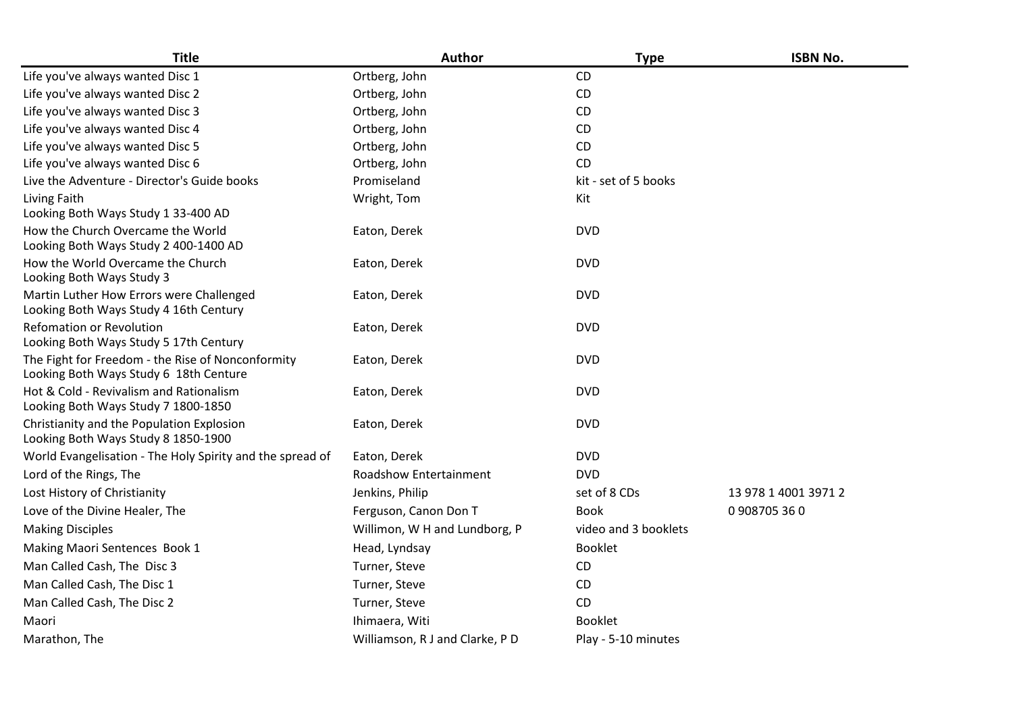| <b>Title</b>                                                                                | Author                          | <b>Type</b>          | <b>ISBN No.</b>      |
|---------------------------------------------------------------------------------------------|---------------------------------|----------------------|----------------------|
| Life you've always wanted Disc 1                                                            | Ortberg, John                   | CD                   |                      |
| Life you've always wanted Disc 2                                                            | Ortberg, John                   | CD                   |                      |
| Life you've always wanted Disc 3                                                            | Ortberg, John                   | CD                   |                      |
| Life you've always wanted Disc 4                                                            | Ortberg, John                   | <b>CD</b>            |                      |
| Life you've always wanted Disc 5                                                            | Ortberg, John                   | CD                   |                      |
| Life you've always wanted Disc 6                                                            | Ortberg, John                   | <b>CD</b>            |                      |
| Live the Adventure - Director's Guide books                                                 | Promiseland                     | kit - set of 5 books |                      |
| Living Faith<br>Looking Both Ways Study 1 33-400 AD                                         | Wright, Tom                     | Kit                  |                      |
| How the Church Overcame the World<br>Looking Both Ways Study 2 400-1400 AD                  | Eaton, Derek                    | <b>DVD</b>           |                      |
| How the World Overcame the Church<br>Looking Both Ways Study 3                              | Eaton, Derek                    | <b>DVD</b>           |                      |
| Martin Luther How Errors were Challenged<br>Looking Both Ways Study 4 16th Century          | Eaton, Derek                    | <b>DVD</b>           |                      |
| <b>Refomation or Revolution</b><br>Looking Both Ways Study 5 17th Century                   | Eaton, Derek                    | <b>DVD</b>           |                      |
| The Fight for Freedom - the Rise of Nonconformity<br>Looking Both Ways Study 6 18th Centure | Eaton, Derek                    | <b>DVD</b>           |                      |
| Hot & Cold - Revivalism and Rationalism<br>Looking Both Ways Study 7 1800-1850              | Eaton, Derek                    | <b>DVD</b>           |                      |
| Christianity and the Population Explosion<br>Looking Both Ways Study 8 1850-1900            | Eaton, Derek                    | <b>DVD</b>           |                      |
| World Evangelisation - The Holy Spirity and the spread of                                   | Eaton, Derek                    | <b>DVD</b>           |                      |
| Lord of the Rings, The                                                                      | Roadshow Entertainment          | <b>DVD</b>           |                      |
| Lost History of Christianity                                                                | Jenkins, Philip                 | set of 8 CDs         | 13 978 1 4001 3971 2 |
| Love of the Divine Healer, The                                                              | Ferguson, Canon Don T           | <b>Book</b>          | 0908705360           |
| <b>Making Disciples</b>                                                                     | Willimon, W H and Lundborg, P   | video and 3 booklets |                      |
| Making Maori Sentences Book 1                                                               | Head, Lyndsay                   | <b>Booklet</b>       |                      |
| Man Called Cash, The Disc 3                                                                 | Turner, Steve                   | CD                   |                      |
| Man Called Cash, The Disc 1                                                                 | Turner, Steve                   | CD                   |                      |
| Man Called Cash, The Disc 2                                                                 | Turner, Steve                   | CD                   |                      |
| Maori                                                                                       | Ihimaera, Witi                  | <b>Booklet</b>       |                      |
| Marathon, The                                                                               | Williamson, R J and Clarke, P D | Play - 5-10 minutes  |                      |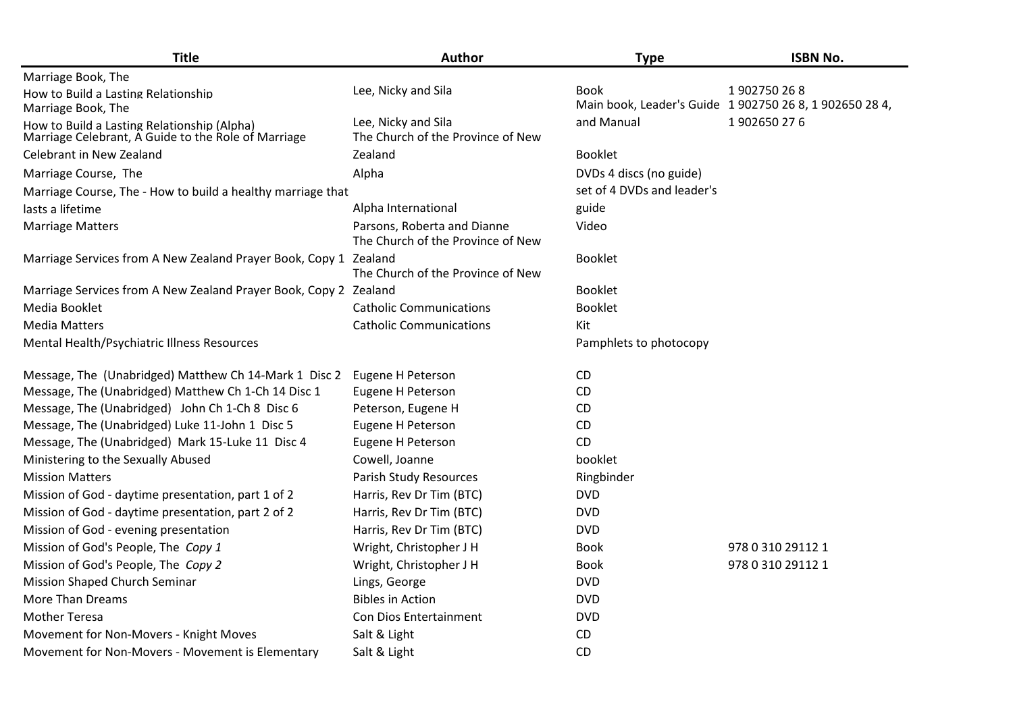| <b>Title</b>                                                                                       | Author                                                           | <b>Type</b>                | <b>ISBN No.</b>                                                       |
|----------------------------------------------------------------------------------------------------|------------------------------------------------------------------|----------------------------|-----------------------------------------------------------------------|
| Marriage Book, The                                                                                 |                                                                  |                            |                                                                       |
| How to Build a Lasting Relationship<br>Marriage Book, The                                          | Lee, Nicky and Sila                                              | <b>Book</b>                | 1902750268<br>Main book, Leader's Guide 1 902750 26 8, 1 902650 28 4, |
| How to Build a Lasting Relationship (Alpha)<br>Marriage Celebrant, A Guide to the Role of Marriage | Lee, Nicky and Sila<br>The Church of the Province of New         | and Manual                 | 1902650276                                                            |
| Celebrant in New Zealand                                                                           | Zealand                                                          | <b>Booklet</b>             |                                                                       |
| Marriage Course, The                                                                               | Alpha                                                            | DVDs 4 discs (no guide)    |                                                                       |
| Marriage Course, The - How to build a healthy marriage that                                        |                                                                  | set of 4 DVDs and leader's |                                                                       |
| lasts a lifetime                                                                                   | Alpha International                                              | guide                      |                                                                       |
| <b>Marriage Matters</b>                                                                            | Parsons, Roberta and Dianne<br>The Church of the Province of New | Video                      |                                                                       |
| Marriage Services from A New Zealand Prayer Book, Copy 1 Zealand                                   | The Church of the Province of New                                | <b>Booklet</b>             |                                                                       |
| Marriage Services from A New Zealand Prayer Book, Copy 2 Zealand                                   |                                                                  | <b>Booklet</b>             |                                                                       |
| Media Booklet                                                                                      | <b>Catholic Communications</b>                                   | <b>Booklet</b>             |                                                                       |
| <b>Media Matters</b>                                                                               | <b>Catholic Communications</b>                                   | Kit                        |                                                                       |
| Mental Health/Psychiatric Illness Resources                                                        |                                                                  | Pamphlets to photocopy     |                                                                       |
| Message, The (Unabridged) Matthew Ch 14-Mark 1 Disc 2                                              | Eugene H Peterson                                                | <b>CD</b>                  |                                                                       |
| Message, The (Unabridged) Matthew Ch 1-Ch 14 Disc 1                                                | Eugene H Peterson                                                | CD                         |                                                                       |
| Message, The (Unabridged) John Ch 1-Ch 8 Disc 6                                                    | Peterson, Eugene H                                               | CD                         |                                                                       |
| Message, The (Unabridged) Luke 11-John 1 Disc 5                                                    | Eugene H Peterson                                                | CD                         |                                                                       |
| Message, The (Unabridged) Mark 15-Luke 11 Disc 4                                                   | Eugene H Peterson                                                | CD                         |                                                                       |
| Ministering to the Sexually Abused                                                                 | Cowell, Joanne                                                   | booklet                    |                                                                       |
| <b>Mission Matters</b>                                                                             | Parish Study Resources                                           | Ringbinder                 |                                                                       |
| Mission of God - daytime presentation, part 1 of 2                                                 | Harris, Rev Dr Tim (BTC)                                         | <b>DVD</b>                 |                                                                       |
| Mission of God - daytime presentation, part 2 of 2                                                 | Harris, Rev Dr Tim (BTC)                                         | <b>DVD</b>                 |                                                                       |
| Mission of God - evening presentation                                                              | Harris, Rev Dr Tim (BTC)                                         | <b>DVD</b>                 |                                                                       |
| Mission of God's People, The Copy 1                                                                | Wright, Christopher J H                                          | <b>Book</b>                | 978 0 310 29112 1                                                     |
| Mission of God's People, The Copy 2                                                                | Wright, Christopher J H                                          | Book                       | 978 0 310 29112 1                                                     |
| Mission Shaped Church Seminar                                                                      | Lings, George                                                    | <b>DVD</b>                 |                                                                       |
| <b>More Than Dreams</b>                                                                            | <b>Bibles in Action</b>                                          | <b>DVD</b>                 |                                                                       |
| <b>Mother Teresa</b>                                                                               | <b>Con Dios Entertainment</b>                                    | <b>DVD</b>                 |                                                                       |
| Movement for Non-Movers - Knight Moves                                                             | Salt & Light                                                     | CD                         |                                                                       |
| Movement for Non-Movers - Movement is Elementary                                                   | Salt & Light                                                     | CD                         |                                                                       |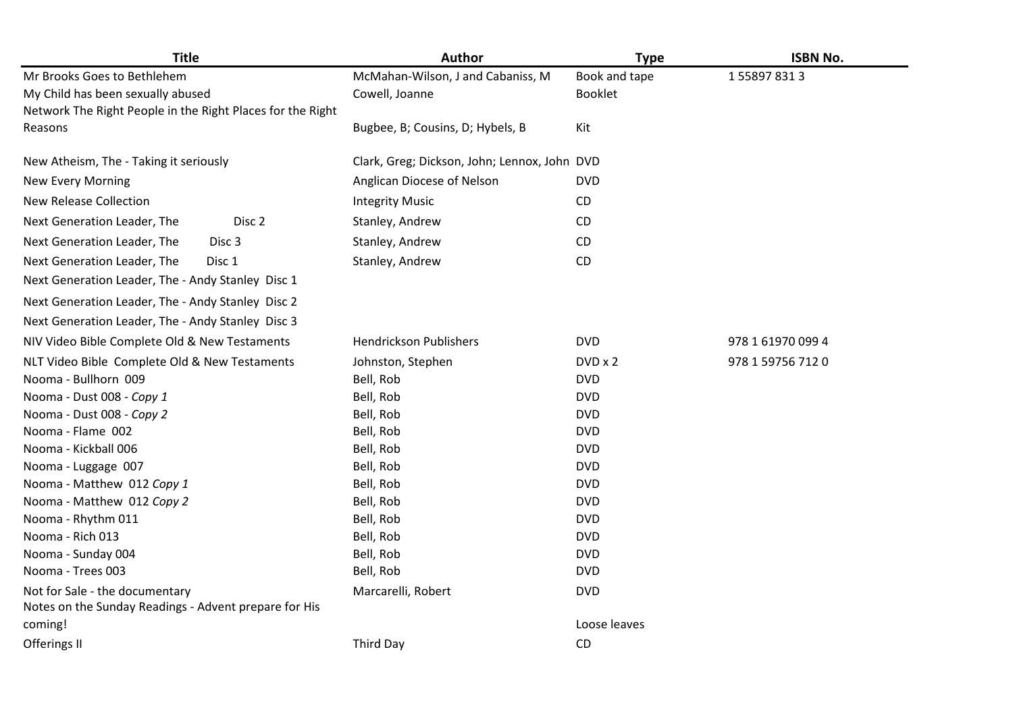| <b>Title</b>                                               | Author                                       | <b>Type</b>    | <b>ISBN No.</b>   |
|------------------------------------------------------------|----------------------------------------------|----------------|-------------------|
| Mr Brooks Goes to Bethlehem                                | McMahan-Wilson, J and Cabaniss, M            | Book and tape  | 1558978313        |
| My Child has been sexually abused                          | Cowell, Joanne                               | <b>Booklet</b> |                   |
| Network The Right People in the Right Places for the Right |                                              |                |                   |
| Reasons                                                    | Bugbee, B; Cousins, D; Hybels, B             | Kit            |                   |
| New Atheism, The - Taking it seriously                     | Clark, Greg; Dickson, John; Lennox, John DVD |                |                   |
| <b>New Every Morning</b>                                   | Anglican Diocese of Nelson                   | <b>DVD</b>     |                   |
| <b>New Release Collection</b>                              | <b>Integrity Music</b>                       | CD             |                   |
| Next Generation Leader, The<br>Disc 2                      | Stanley, Andrew                              | CD.            |                   |
| Next Generation Leader, The<br>Disc <sub>3</sub>           | Stanley, Andrew                              | <b>CD</b>      |                   |
| Next Generation Leader, The<br>Disc 1                      | Stanley, Andrew                              | CD             |                   |
| Next Generation Leader, The - Andy Stanley Disc 1          |                                              |                |                   |
| Next Generation Leader, The - Andy Stanley Disc 2          |                                              |                |                   |
| Next Generation Leader, The - Andy Stanley Disc 3          |                                              |                |                   |
| NIV Video Bible Complete Old & New Testaments              | <b>Hendrickson Publishers</b>                | <b>DVD</b>     | 978 1 61970 099 4 |
| NLT Video Bible Complete Old & New Testaments              | Johnston, Stephen                            | DVD x 2        | 978 1 59756 712 0 |
| Nooma - Bullhorn 009                                       | Bell, Rob                                    | <b>DVD</b>     |                   |
| Nooma - Dust 008 - Copy 1                                  | Bell, Rob                                    | <b>DVD</b>     |                   |
| Nooma - Dust 008 - Copy 2                                  | Bell, Rob                                    | <b>DVD</b>     |                   |
| Nooma - Flame 002                                          | Bell, Rob                                    | <b>DVD</b>     |                   |
| Nooma - Kickball 006                                       | Bell, Rob                                    | <b>DVD</b>     |                   |
| Nooma - Luggage 007                                        | Bell, Rob                                    | <b>DVD</b>     |                   |
| Nooma - Matthew 012 Copy 1                                 | Bell, Rob                                    | <b>DVD</b>     |                   |
| Nooma - Matthew 012 Copy 2                                 | Bell, Rob                                    | <b>DVD</b>     |                   |
| Nooma - Rhythm 011                                         | Bell, Rob                                    | <b>DVD</b>     |                   |
| Nooma - Rich 013                                           | Bell, Rob                                    | <b>DVD</b>     |                   |
| Nooma - Sunday 004                                         | Bell, Rob                                    | <b>DVD</b>     |                   |
| Nooma - Trees 003                                          | Bell, Rob                                    | <b>DVD</b>     |                   |
| Not for Sale - the documentary                             | Marcarelli, Robert                           | <b>DVD</b>     |                   |
| Notes on the Sunday Readings - Advent prepare for His      |                                              |                |                   |
| coming!                                                    |                                              | Loose leaves   |                   |
| Offerings II                                               | Third Day                                    | CD             |                   |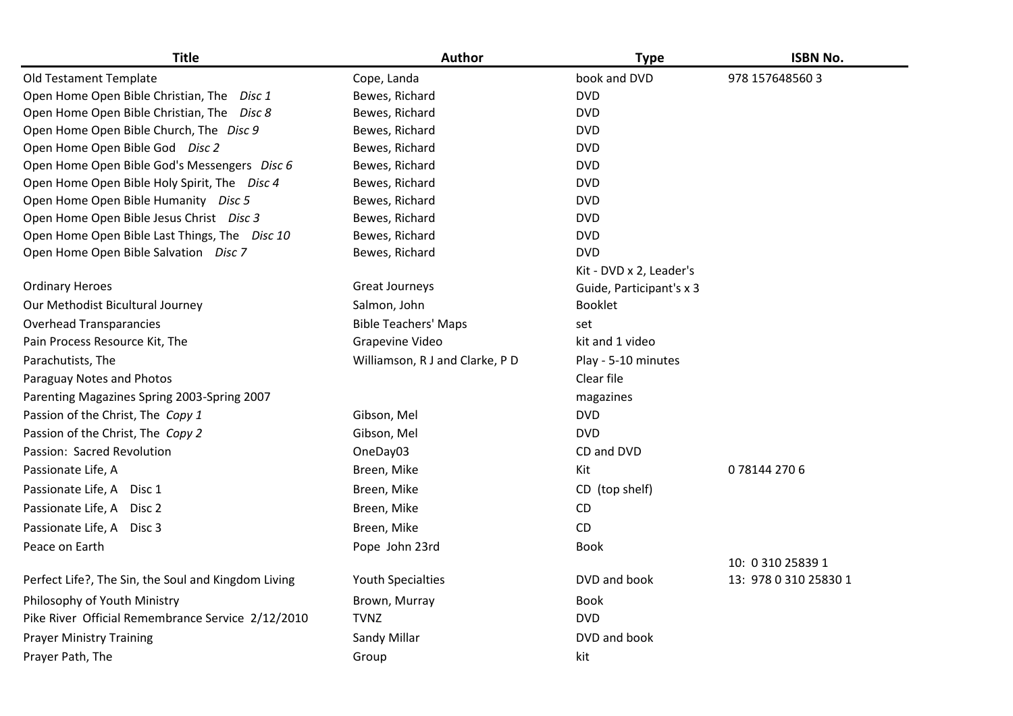| <b>Title</b>                                        | Author                          | <b>Type</b>              | <b>ISBN No.</b>       |
|-----------------------------------------------------|---------------------------------|--------------------------|-----------------------|
| Old Testament Template                              | Cope, Landa                     | book and DVD             | 978 157648560 3       |
| Open Home Open Bible Christian, The Disc 1          | Bewes, Richard                  | <b>DVD</b>               |                       |
| Open Home Open Bible Christian, The Disc 8          | Bewes, Richard                  | <b>DVD</b>               |                       |
| Open Home Open Bible Church, The Disc 9             | Bewes, Richard                  | <b>DVD</b>               |                       |
| Open Home Open Bible God Disc 2                     | Bewes, Richard                  | <b>DVD</b>               |                       |
| Open Home Open Bible God's Messengers Disc 6        | Bewes, Richard                  | <b>DVD</b>               |                       |
| Open Home Open Bible Holy Spirit, The Disc 4        | Bewes, Richard                  | <b>DVD</b>               |                       |
| Open Home Open Bible Humanity Disc 5                | Bewes, Richard                  | <b>DVD</b>               |                       |
| Open Home Open Bible Jesus Christ Disc 3            | Bewes, Richard                  | <b>DVD</b>               |                       |
| Open Home Open Bible Last Things, The Disc 10       | Bewes, Richard                  | <b>DVD</b>               |                       |
| Open Home Open Bible Salvation Disc 7               | Bewes, Richard                  | <b>DVD</b>               |                       |
|                                                     |                                 | Kit - DVD x 2, Leader's  |                       |
| <b>Ordinary Heroes</b>                              | Great Journeys                  | Guide, Participant's x 3 |                       |
| Our Methodist Bicultural Journey                    | Salmon, John                    | <b>Booklet</b>           |                       |
| <b>Overhead Transparancies</b>                      | <b>Bible Teachers' Maps</b>     | set                      |                       |
| Pain Process Resource Kit, The                      | Grapevine Video                 | kit and 1 video          |                       |
| Parachutists, The                                   | Williamson, R J and Clarke, P D | Play - 5-10 minutes      |                       |
| Paraguay Notes and Photos                           |                                 | Clear file               |                       |
| Parenting Magazines Spring 2003-Spring 2007         |                                 | magazines                |                       |
| Passion of the Christ, The Copy 1                   | Gibson, Mel                     | <b>DVD</b>               |                       |
| Passion of the Christ, The Copy 2                   | Gibson, Mel                     | <b>DVD</b>               |                       |
| Passion: Sacred Revolution                          | OneDay03                        | CD and DVD               |                       |
| Passionate Life, A                                  | Breen, Mike                     | Kit                      | 0781442706            |
| Passionate Life, A Disc 1                           | Breen, Mike                     | CD (top shelf)           |                       |
| Passionate Life, A Disc 2                           | Breen, Mike                     | CD                       |                       |
| Passionate Life, A Disc 3                           | Breen, Mike                     | CD                       |                       |
| Peace on Earth                                      | Pope John 23rd                  | <b>Book</b>              |                       |
|                                                     |                                 |                          | 10: 0 310 25839 1     |
| Perfect Life?, The Sin, the Soul and Kingdom Living | <b>Youth Specialties</b>        | DVD and book             | 13: 978 0 310 25830 1 |
| Philosophy of Youth Ministry                        | Brown, Murray                   | <b>Book</b>              |                       |
| Pike River Official Remembrance Service 2/12/2010   | <b>TVNZ</b>                     | <b>DVD</b>               |                       |
| <b>Prayer Ministry Training</b>                     | Sandy Millar                    | DVD and book             |                       |
| Prayer Path, The                                    | Group                           | kit                      |                       |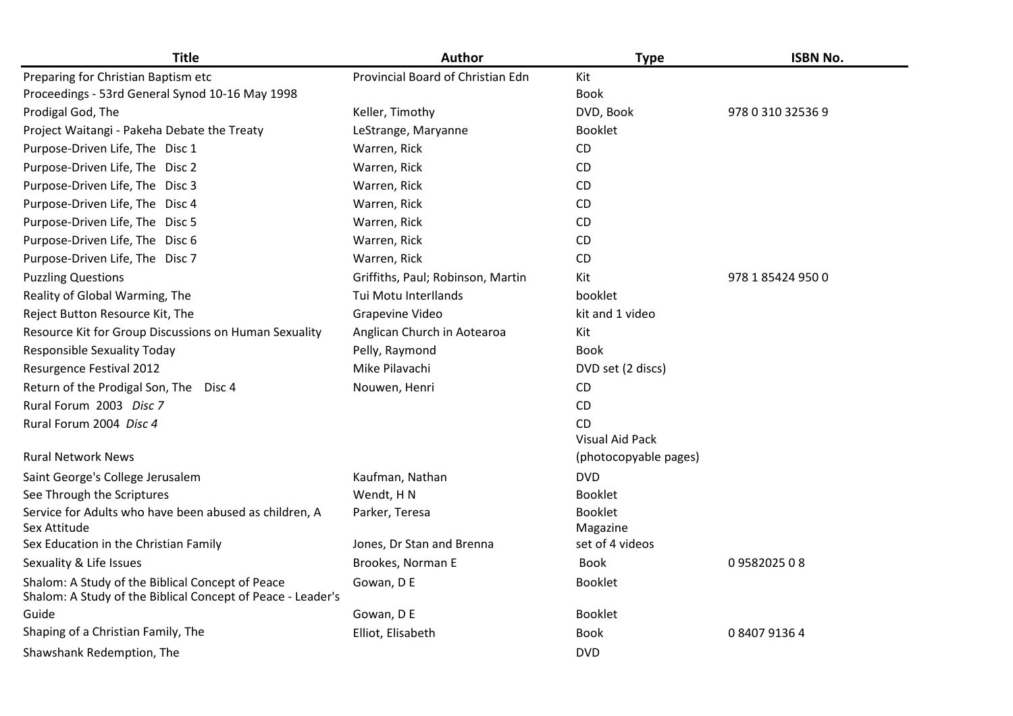| <b>Title</b>                                                                                                    | Author                            | <b>Type</b>            | <b>ISBN No.</b>   |
|-----------------------------------------------------------------------------------------------------------------|-----------------------------------|------------------------|-------------------|
| Preparing for Christian Baptism etc                                                                             | Provincial Board of Christian Edn | Kit                    |                   |
| Proceedings - 53rd General Synod 10-16 May 1998                                                                 |                                   | Book                   |                   |
| Prodigal God, The                                                                                               | Keller, Timothy                   | DVD, Book              | 978 0 310 32536 9 |
| Project Waitangi - Pakeha Debate the Treaty                                                                     | LeStrange, Maryanne               | <b>Booklet</b>         |                   |
| Purpose-Driven Life, The Disc 1                                                                                 | Warren, Rick                      | CD                     |                   |
| Purpose-Driven Life, The Disc 2                                                                                 | Warren, Rick                      | CD                     |                   |
| Purpose-Driven Life, The Disc 3                                                                                 | Warren, Rick                      | CD                     |                   |
| Purpose-Driven Life, The Disc 4                                                                                 | Warren, Rick                      | CD                     |                   |
| Purpose-Driven Life, The Disc 5                                                                                 | Warren, Rick                      | CD                     |                   |
| Purpose-Driven Life, The Disc 6                                                                                 | Warren, Rick                      | CD                     |                   |
| Purpose-Driven Life, The Disc 7                                                                                 | Warren, Rick                      | <b>CD</b>              |                   |
| <b>Puzzling Questions</b>                                                                                       | Griffiths, Paul; Robinson, Martin | Kit                    | 978 1 85424 950 0 |
| Reality of Global Warming, The                                                                                  | Tui Motu Interllands              | booklet                |                   |
| Reject Button Resource Kit, The                                                                                 | Grapevine Video                   | kit and 1 video        |                   |
| Resource Kit for Group Discussions on Human Sexuality                                                           | Anglican Church in Aotearoa       | Kit                    |                   |
| <b>Responsible Sexuality Today</b>                                                                              | Pelly, Raymond                    | <b>Book</b>            |                   |
| Resurgence Festival 2012                                                                                        | Mike Pilavachi                    | DVD set (2 discs)      |                   |
| Return of the Prodigal Son, The Disc 4                                                                          | Nouwen, Henri                     | CD                     |                   |
| Rural Forum 2003 Disc 7                                                                                         |                                   | <b>CD</b>              |                   |
| Rural Forum 2004 Disc 4                                                                                         |                                   | <b>CD</b>              |                   |
|                                                                                                                 |                                   | <b>Visual Aid Pack</b> |                   |
| <b>Rural Network News</b>                                                                                       |                                   | (photocopyable pages)  |                   |
| Saint George's College Jerusalem                                                                                | Kaufman, Nathan                   | <b>DVD</b>             |                   |
| See Through the Scriptures                                                                                      | Wendt, HN                         | <b>Booklet</b>         |                   |
| Service for Adults who have been abused as children, A                                                          | Parker, Teresa                    | Booklet                |                   |
| Sex Attitude                                                                                                    |                                   | Magazine               |                   |
| Sex Education in the Christian Family                                                                           | Jones, Dr Stan and Brenna         | set of 4 videos        |                   |
| Sexuality & Life Issues                                                                                         | Brookes, Norman E                 | <b>Book</b>            | 0958202508        |
| Shalom: A Study of the Biblical Concept of Peace<br>Shalom: A Study of the Biblical Concept of Peace - Leader's | Gowan, D E                        | <b>Booklet</b>         |                   |
| Guide                                                                                                           | Gowan, D E                        | <b>Booklet</b>         |                   |
| Shaping of a Christian Family, The                                                                              | Elliot, Elisabeth                 | <b>Book</b>            | 0 8407 9136 4     |
| Shawshank Redemption, The                                                                                       |                                   | <b>DVD</b>             |                   |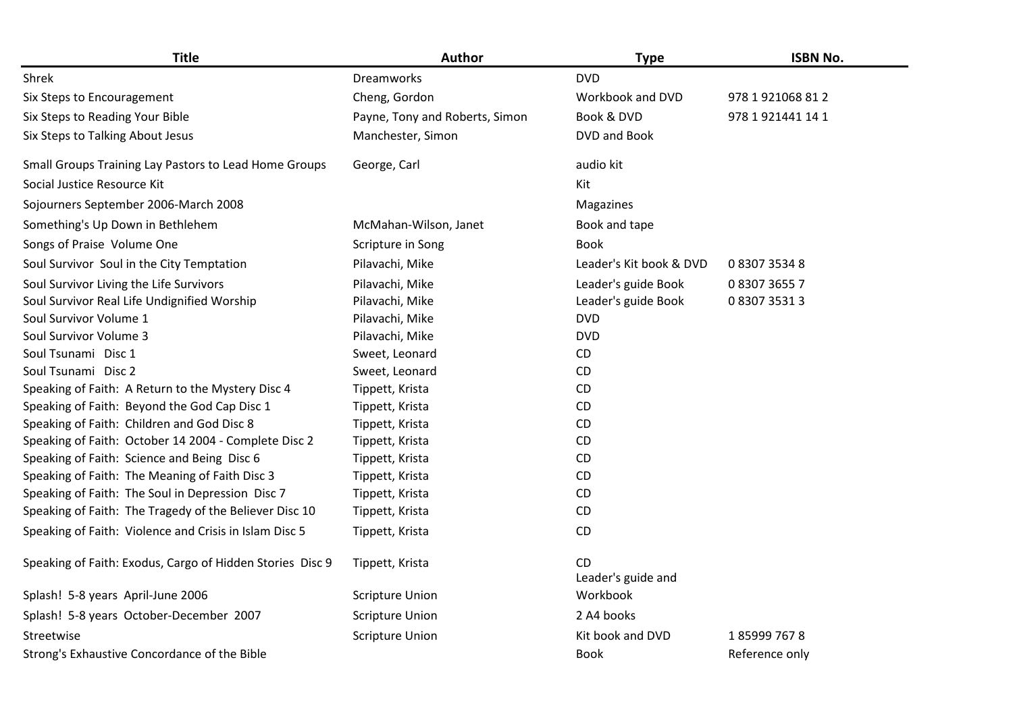| <b>Title</b>                                              | <b>Author</b>                  | <b>Type</b>               | <b>ISBN No.</b>   |
|-----------------------------------------------------------|--------------------------------|---------------------------|-------------------|
| Shrek                                                     | Dreamworks                     | <b>DVD</b>                |                   |
| Six Steps to Encouragement                                | Cheng, Gordon                  | Workbook and DVD          | 978 1 921068 81 2 |
| Six Steps to Reading Your Bible                           | Payne, Tony and Roberts, Simon | Book & DVD                | 978 1 921441 14 1 |
| Six Steps to Talking About Jesus                          | Manchester, Simon              | DVD and Book              |                   |
| Small Groups Training Lay Pastors to Lead Home Groups     | George, Carl                   | audio kit                 |                   |
| Social Justice Resource Kit                               |                                | Kit                       |                   |
| Sojourners September 2006-March 2008                      |                                | Magazines                 |                   |
| Something's Up Down in Bethlehem                          | McMahan-Wilson, Janet          | Book and tape             |                   |
| Songs of Praise Volume One                                | Scripture in Song              | <b>Book</b>               |                   |
| Soul Survivor Soul in the City Temptation                 | Pilavachi, Mike                | Leader's Kit book & DVD   | 0 8307 3534 8     |
| Soul Survivor Living the Life Survivors                   | Pilavachi, Mike                | Leader's guide Book       | 0830736557        |
| Soul Survivor Real Life Undignified Worship               | Pilavachi, Mike                | Leader's guide Book       | 0 8307 3531 3     |
| Soul Survivor Volume 1                                    | Pilavachi, Mike                | <b>DVD</b>                |                   |
| Soul Survivor Volume 3                                    | Pilavachi, Mike                | <b>DVD</b>                |                   |
| Soul Tsunami Disc 1                                       | Sweet, Leonard                 | CD                        |                   |
| Soul Tsunami Disc 2                                       | Sweet, Leonard                 | CD                        |                   |
| Speaking of Faith: A Return to the Mystery Disc 4         | Tippett, Krista                | <b>CD</b>                 |                   |
| Speaking of Faith: Beyond the God Cap Disc 1              | Tippett, Krista                | CD                        |                   |
| Speaking of Faith: Children and God Disc 8                | Tippett, Krista                | CD                        |                   |
| Speaking of Faith: October 14 2004 - Complete Disc 2      | Tippett, Krista                | CD                        |                   |
| Speaking of Faith: Science and Being Disc 6               | Tippett, Krista                | CD                        |                   |
| Speaking of Faith: The Meaning of Faith Disc 3            | Tippett, Krista                | CD                        |                   |
| Speaking of Faith: The Soul in Depression Disc 7          | Tippett, Krista                | CD                        |                   |
| Speaking of Faith: The Tragedy of the Believer Disc 10    | Tippett, Krista                | CD                        |                   |
| Speaking of Faith: Violence and Crisis in Islam Disc 5    | Tippett, Krista                | CD                        |                   |
| Speaking of Faith: Exodus, Cargo of Hidden Stories Disc 9 | Tippett, Krista                | CD.<br>Leader's guide and |                   |
| Splash! 5-8 years April-June 2006                         | <b>Scripture Union</b>         | Workbook                  |                   |
| Splash! 5-8 years October-December 2007                   | <b>Scripture Union</b>         | 2 A4 books                |                   |
| Streetwise                                                | <b>Scripture Union</b>         | Kit book and DVD          | 1859997678        |
| Strong's Exhaustive Concordance of the Bible              |                                | <b>Book</b>               | Reference only    |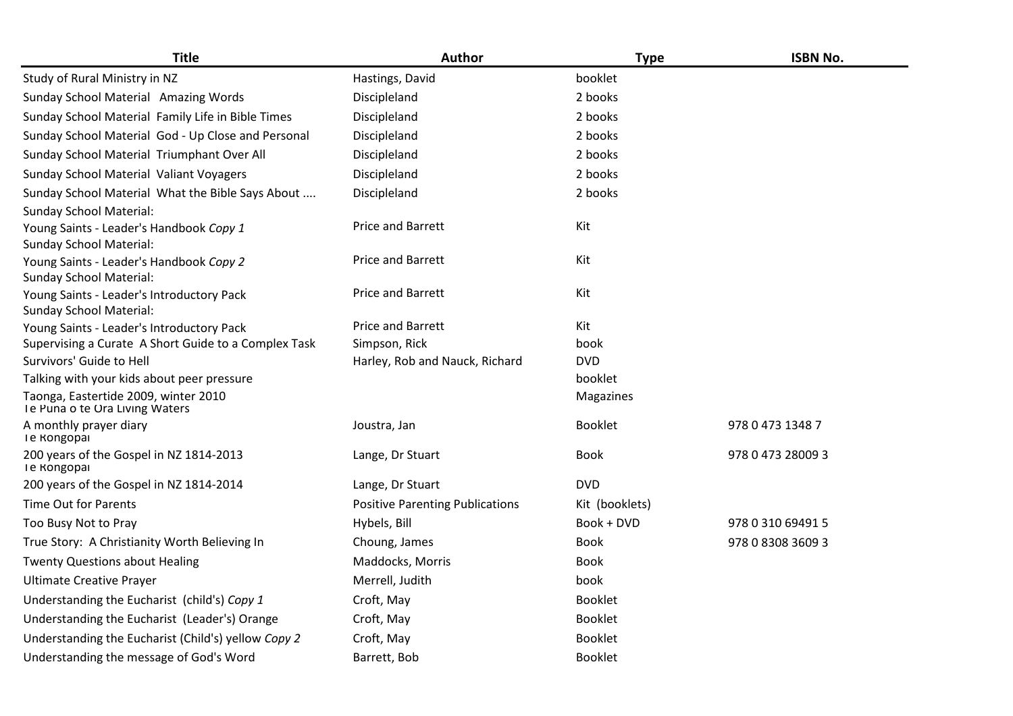| <b>Title</b>                                                                | <b>Author</b>                          | <b>Type</b>    | <b>ISBN No.</b>   |
|-----------------------------------------------------------------------------|----------------------------------------|----------------|-------------------|
| Study of Rural Ministry in NZ                                               | Hastings, David                        | booklet        |                   |
| Sunday School Material Amazing Words                                        | Discipleland                           | 2 books        |                   |
| Sunday School Material Family Life in Bible Times                           | Discipleland                           | 2 books        |                   |
| Sunday School Material God - Up Close and Personal                          | Discipleland                           | 2 books        |                   |
| Sunday School Material Triumphant Over All                                  | Discipleland                           | 2 books        |                   |
| Sunday School Material Valiant Voyagers                                     | Discipleland                           | 2 books        |                   |
| Sunday School Material What the Bible Says About                            | Discipleland                           | 2 books        |                   |
| <b>Sunday School Material:</b>                                              |                                        |                |                   |
| Young Saints - Leader's Handbook Copy 1<br><b>Sunday School Material:</b>   | Price and Barrett                      | Kit            |                   |
| Young Saints - Leader's Handbook Copy 2<br><b>Sunday School Material:</b>   | Price and Barrett                      | Kit            |                   |
| Young Saints - Leader's Introductory Pack<br><b>Sunday School Material:</b> | Price and Barrett                      | Kit            |                   |
| Young Saints - Leader's Introductory Pack                                   | Price and Barrett                      | Kit            |                   |
| Supervising a Curate A Short Guide to a Complex Task                        | Simpson, Rick                          | book           |                   |
| Survivors' Guide to Hell                                                    | Harley, Rob and Nauck, Richard         | <b>DVD</b>     |                   |
| Talking with your kids about peer pressure                                  |                                        | booklet        |                   |
| Taonga, Eastertide 2009, winter 2010<br>Te Puna o te Ora Living Waters      |                                        | Magazines      |                   |
| A monthly prayer diary<br><b>Ie Rongopai</b>                                | Joustra, Jan                           | <b>Booklet</b> | 978 0 473 1348 7  |
| 200 years of the Gospel in NZ 1814-2013<br><b>Ie Rongopai</b>               | Lange, Dr Stuart                       | <b>Book</b>    | 978 0 473 28009 3 |
| 200 years of the Gospel in NZ 1814-2014                                     | Lange, Dr Stuart                       | <b>DVD</b>     |                   |
| Time Out for Parents                                                        | <b>Positive Parenting Publications</b> | Kit (booklets) |                   |
| Too Busy Not to Pray                                                        | Hybels, Bill                           | Book + DVD     | 978 0 310 69491 5 |
| True Story: A Christianity Worth Believing In                               | Choung, James                          | <b>Book</b>    | 978 0 8308 3609 3 |
| <b>Twenty Questions about Healing</b>                                       | Maddocks, Morris                       | <b>Book</b>    |                   |
| <b>Ultimate Creative Prayer</b>                                             | Merrell, Judith                        | book           |                   |
| Understanding the Eucharist (child's) Copy 1                                | Croft, May                             | <b>Booklet</b> |                   |
| Understanding the Eucharist (Leader's) Orange                               | Croft, May                             | Booklet        |                   |
| Understanding the Eucharist (Child's) yellow Copy 2                         | Croft, May                             | <b>Booklet</b> |                   |
| Understanding the message of God's Word                                     | Barrett, Bob                           | <b>Booklet</b> |                   |